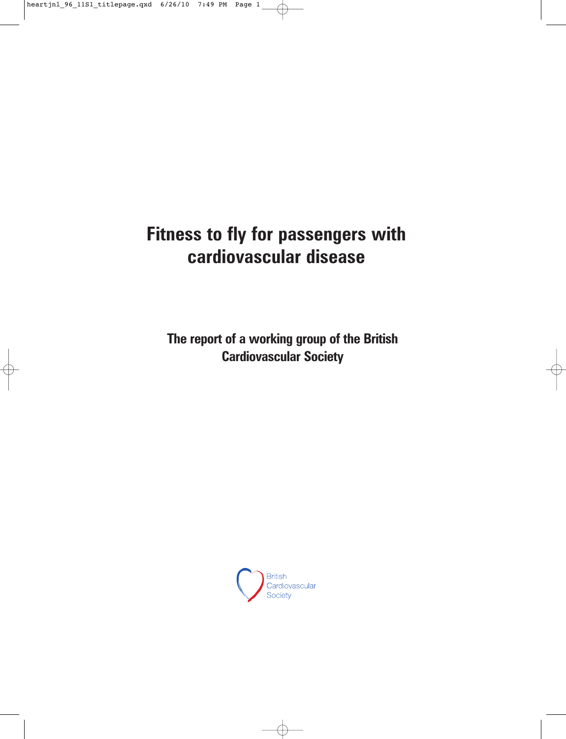# **Fitness to fly for passengers with cardiovascular disease**

**The report of a working group of the British Cardiovascular Society**

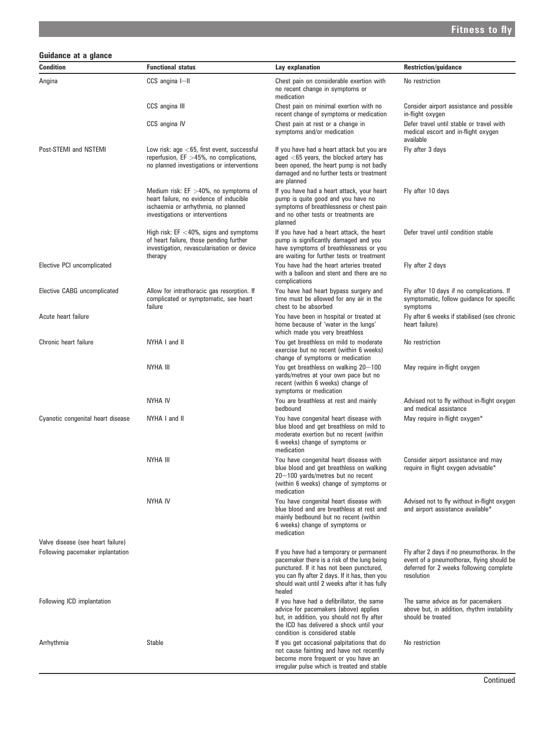#### Guidance at a glance

| Condition                                                             | <b>Functional status</b>                                                                                                                                       | Lay explanation                                                                                                                                                                                                                                | <b>Restriction/quidance</b>                                                                                                                       |
|-----------------------------------------------------------------------|----------------------------------------------------------------------------------------------------------------------------------------------------------------|------------------------------------------------------------------------------------------------------------------------------------------------------------------------------------------------------------------------------------------------|---------------------------------------------------------------------------------------------------------------------------------------------------|
| Angina                                                                | CCS angina I-II                                                                                                                                                | Chest pain on considerable exertion with<br>no recent change in symptoms or<br>medication                                                                                                                                                      | No restriction                                                                                                                                    |
|                                                                       | CCS angina III                                                                                                                                                 | Chest pain on minimal exertion with no<br>recent change of symptoms or medication                                                                                                                                                              | Consider airport assistance and possible<br>in-flight oxygen                                                                                      |
|                                                                       | CCS angina IV                                                                                                                                                  | Chest pain at rest or a change in<br>symptoms and/or medication                                                                                                                                                                                | Defer travel until stable or travel with<br>medical escort and in-flight oxygen<br>available                                                      |
| Post-STEMI and NSTEMI                                                 | Low risk: $age < 65$ , first event, successful<br>reperfusion, $EF > 45\%$ , no complications,<br>no planned investigations or interventions                   | If you have had a heart attack but you are<br>aged $<$ 65 years, the blocked artery has<br>been opened, the heart pump is not badly<br>damaged and no further tests or treatment<br>are planned                                                | Fly after 3 days                                                                                                                                  |
|                                                                       | Medium risk: $EF > 40\%$ , no symptoms of<br>heart failure, no evidence of inducible<br>ischaemia or arrhythmia, no planned<br>investigations or interventions | If you have had a heart attack, your heart<br>pump is quite good and you have no<br>symptoms of breathlessness or chest pain<br>and no other tests or treatments are<br>planned                                                                | Fly after 10 days                                                                                                                                 |
|                                                                       | High risk: $EF < 40\%$ , signs and symptoms<br>of heart failure, those pending further<br>investigation, revascularisation or device<br>therapy                | If you have had a heart attack, the heart<br>pump is significantly damaged and you<br>have symptoms of breathlessness or you<br>are waiting for further tests or treatment                                                                     | Defer travel until condition stable                                                                                                               |
| Elective PCI uncomplicated                                            |                                                                                                                                                                | You have had the heart arteries treated<br>with a balloon and stent and there are no<br>complications                                                                                                                                          | Fly after 2 days                                                                                                                                  |
| Elective CABG uncomplicated                                           | Allow for intrathoracic gas resorption. If<br>complicated or symptomatic, see heart<br>failure                                                                 | You have had heart bypass surgery and<br>time must be allowed for any air in the<br>chest to be absorbed                                                                                                                                       | Fly after 10 days if no complications. If<br>symptomatic, follow quidance for specific<br>symptoms                                                |
| Acute heart failure                                                   |                                                                                                                                                                | You have been in hospital or treated at<br>home because of 'water in the lungs'<br>which made you very breathless                                                                                                                              | Fly after 6 weeks if stabilised (see chronic<br>heart failure)                                                                                    |
| Chronic heart failure                                                 | NYHA I and II                                                                                                                                                  | You get breathless on mild to moderate<br>exercise but no recent (within 6 weeks)<br>change of symptoms or medication                                                                                                                          | No restriction                                                                                                                                    |
|                                                                       | NYHA III                                                                                                                                                       | You get breathless on walking 20-100<br>yards/metres at your own pace but no<br>recent (within 6 weeks) change of<br>symptoms or medication                                                                                                    | May require in-flight oxygen                                                                                                                      |
|                                                                       | NYHA IV                                                                                                                                                        | You are breathless at rest and mainly<br>bedbound                                                                                                                                                                                              | Advised not to fly without in-flight oxygen<br>and medical assistance                                                                             |
| Cyanotic congenital heart disease                                     | NYHA I and II                                                                                                                                                  | You have congenital heart disease with<br>blue blood and get breathless on mild to<br>moderate exertion but no recent (within<br>6 weeks) change of symptoms or<br>medication                                                                  | May require in-flight oxygen*                                                                                                                     |
|                                                                       | NYHA III                                                                                                                                                       | You have congenital heart disease with<br>blue blood and get breathless on walking<br>$20 - 100$ yards/metres but no recent<br>(within 6 weeks) change of symptoms or<br>medication                                                            | Consider airport assistance and may<br>require in flight oxygen advisable*                                                                        |
|                                                                       | <b>NYHA IV</b>                                                                                                                                                 | You have congenital heart disease with<br>blue blood and are breathless at rest and<br>mainly bedbound but no recent (within<br>6 weeks) change of symptoms or<br>medication                                                                   | Advised not to fly without in-flight oxygen<br>and airport assistance available*                                                                  |
| Valve disease (see heart failure)<br>Following pacemaker inplantation |                                                                                                                                                                | If you have had a temporary or permanent<br>pacemaker there is a risk of the lung being<br>punctured. If it has not been punctured,<br>you can fly after 2 days. If it has, then you<br>should wait until 2 weeks after it has fully<br>healed | Fly after 2 days if no pneumothorax. In the<br>event of a pneumothorax, flying should be<br>deferred for 2 weeks following complete<br>resolution |
| Following ICD implantation                                            |                                                                                                                                                                | If you have had a defibrillator, the same<br>advice for pacemakers (above) applies<br>but, in addition, you should not fly after<br>the ICD has delivered a shock until your<br>condition is considered stable                                 | The same advice as for pacemakers<br>above but, in addition, rhythm instability<br>should be treated                                              |
| Arrhythmia                                                            | Stable                                                                                                                                                         | If you get occasional palpitations that do<br>not cause fainting and have not recently<br>become more frequent or you have an<br>irregular pulse which is treated and stable                                                                   | No restriction                                                                                                                                    |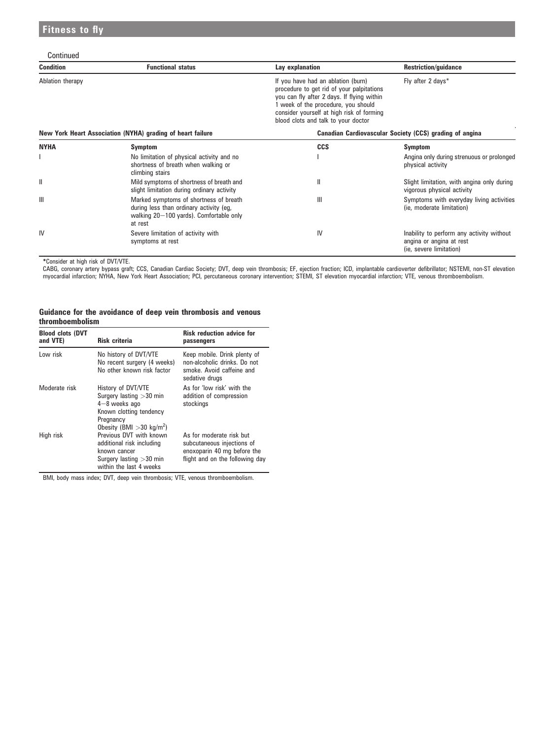### Fitness to fly

| Continued        |                                                                                                                                         |                                                                                                                                                                                                                                                                               |                                                                                                  |
|------------------|-----------------------------------------------------------------------------------------------------------------------------------------|-------------------------------------------------------------------------------------------------------------------------------------------------------------------------------------------------------------------------------------------------------------------------------|--------------------------------------------------------------------------------------------------|
| <b>Condition</b> | <b>Functional status</b>                                                                                                                | Lay explanation                                                                                                                                                                                                                                                               | <b>Restriction/guidance</b>                                                                      |
| Ablation therapy |                                                                                                                                         | Fly after 2 days*<br>If you have had an ablation (burn)<br>procedure to get rid of your palpitations<br>you can fly after 2 days. If flying within<br>1 week of the procedure, you should<br>consider yourself at high risk of forming<br>blood clots and talk to your doctor |                                                                                                  |
|                  | New York Heart Association (NYHA) grading of heart failure                                                                              |                                                                                                                                                                                                                                                                               | Canadian Cardiovascular Society (CCS) grading of angina                                          |
| <b>NYHA</b>      | Symptom                                                                                                                                 | <b>CCS</b>                                                                                                                                                                                                                                                                    | <b>Symptom</b>                                                                                   |
|                  | No limitation of physical activity and no<br>shortness of breath when walking or<br>climbing stairs                                     |                                                                                                                                                                                                                                                                               | Angina only during strenuous or prolonged<br>physical activity                                   |
| $\mathsf{I}$     | Mild symptoms of shortness of breath and<br>slight limitation during ordinary activity                                                  | Ш                                                                                                                                                                                                                                                                             | Slight limitation, with angina only during<br>vigorous physical activity                         |
| Ш                | Marked symptoms of shortness of breath<br>during less than ordinary activity (eq.<br>walking 20-100 yards). Comfortable only<br>at rest | Ш                                                                                                                                                                                                                                                                             | Symptoms with everyday living activities<br>(ie, moderate limitation)                            |
| IV               | Severe limitation of activity with<br>symptoms at rest                                                                                  | IV                                                                                                                                                                                                                                                                            | Inability to perform any activity without<br>angina or angina at rest<br>(ie, severe limitation) |

\*Consider at high risk of DVT/VTE.

CABG, coronary artery bypass graft; CCS, Canadian Cardiac Society; DVT, deep vein thrombosis; EF, ejection fraction; ICD, implantable cardioverter defibrillator; NSTEMI, non-ST elevation<br>myocardial infarction; NYHA, New Yo

#### Guidance for the avoidance of deep vein thrombosis and venous thromboembolism

| <b>Blood clots (DVT</b><br>and VTE) | Risk criteria                                                                                                                                         | <b>Risk reduction advice for</b><br>passengers                                                                           |
|-------------------------------------|-------------------------------------------------------------------------------------------------------------------------------------------------------|--------------------------------------------------------------------------------------------------------------------------|
| Low risk                            | No history of DVT/VTE<br>No recent surgery (4 weeks)<br>No other known risk factor                                                                    | Keep mobile. Drink plenty of<br>non-alcoholic drinks. Do not<br>smoke. Avoid caffeine and<br>sedative drugs              |
| Moderate risk                       | History of DVT/VTE<br>Surgery lasting $>30$ min<br>$4-8$ weeks ago<br>Known clotting tendency<br>Pregnancy<br>Obesity (BMI $>$ 30 kg/m <sup>2</sup> ) | As for 'low risk' with the<br>addition of compression<br>stockings                                                       |
| High risk                           | Previous DVT with known<br>additional risk including<br>known cancer<br>Surgery lasting $>$ 30 min<br>within the last 4 weeks                         | As for moderate risk but<br>subcutaneous injections of<br>enoxoparin 40 mg before the<br>flight and on the following day |

BMI, body mass index; DVT, deep vein thrombosis; VTE, venous thromboembolism.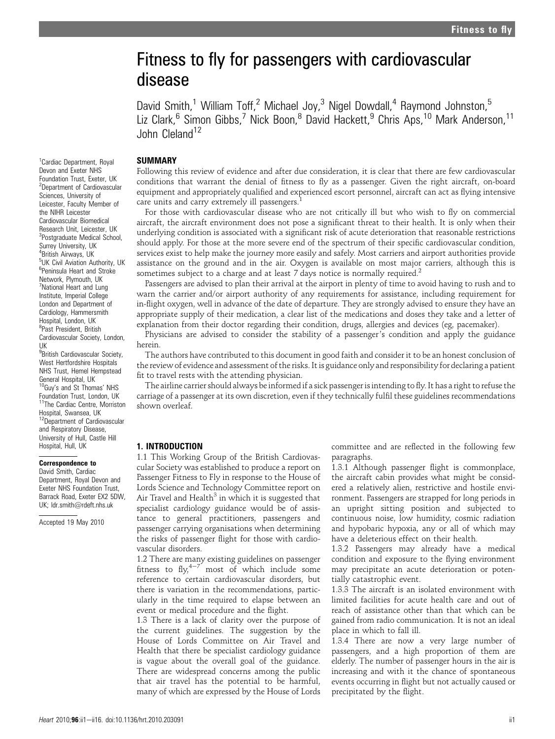## Fitness to fly for passengers with cardiovascular disease

David Smith,<sup>1</sup> William Toff,<sup>2</sup> Michael Joy,<sup>3</sup> Nigel Dowdall,<sup>4</sup> Raymond Johnston,<sup>5</sup> Liz Clark,<sup>6</sup> Simon Gibbs,<sup>7</sup> Nick Boon,<sup>8</sup> David Hackett,<sup>9</sup> Chris Aps,<sup>10</sup> Mark Anderson,<sup>11</sup> John Cleland<sup>12</sup>

#### SUMMARY

Following this review of evidence and after due consideration, it is clear that there are few cardiovascular conditions that warrant the denial of fitness to fly as a passenger. Given the right aircraft, on-board equipment and appropriately qualified and experienced escort personnel, aircraft can act as flying intensive care units and carry extremely ill passengers.<sup>1</sup>

For those with cardiovascular disease who are not critically ill but who wish to fly on commercial aircraft, the aircraft environment does not pose a significant threat to their health. It is only when their underlying condition is associated with a significant risk of acute deterioration that reasonable restrictions should apply. For those at the more severe end of the spectrum of their specific cardiovascular condition, services exist to help make the journey more easily and safely. Most carriers and airport authorities provide assistance on the ground and in the air. Oxygen is available on most major carriers, although this is sometimes subject to a charge and at least  $7$  days notice is normally required.<sup>2</sup>

Passengers are advised to plan their arrival at the airport in plenty of time to avoid having to rush and to warn the carrier and/or airport authority of any requirements for assistance, including requirement for in-flight oxygen, well in advance of the date of departure. They are strongly advised to ensure they have an appropriate supply of their medication, a clear list of the medications and doses they take and a letter of explanation from their doctor regarding their condition, drugs, allergies and devices (eg, pacemaker).

Physicians are advised to consider the stability of a passenger's condition and apply the guidance herein.

The authors have contributed to this document in good faith and consider it to be an honest conclusion of the review of evidence and assessment of the risks. It is guidance only and responsibility for declaring a patient fit to travel rests with the attending physician.

The airline carrier should always be informed if a sick passenger is intending to fly. It has a right to refuse the carriage of a passenger at its own discretion, even if they technically fulfil these guidelines recommendations shown overleaf.

#### 1. INTRODUCTION

1.1 This Working Group of the British Cardiovascular Society was established to produce a report on Passenger Fitness to Fly in response to the House of Lords Science and Technology Committee report on Air Travel and Health $3$  in which it is suggested that specialist cardiology guidance would be of assistance to general practitioners, passengers and passenger carrying organisations when determining the risks of passenger flight for those with cardiovascular disorders.

1.2 There are many existing guidelines on passenger fitness to fly, $4-7$  most of which include some reference to certain cardiovascular disorders, but there is variation in the recommendations, particularly in the time required to elapse between an event or medical procedure and the flight.

1.3 There is a lack of clarity over the purpose of the current guidelines. The suggestion by the House of Lords Committee on Air Travel and Health that there be specialist cardiology guidance is vague about the overall goal of the guidance. There are widespread concerns among the public that air travel has the potential to be harmful, many of which are expressed by the House of Lords committee and are reflected in the following few paragraphs.

1.3.1 Although passenger flight is commonplace, the aircraft cabin provides what might be considered a relatively alien, restrictive and hostile environment. Passengers are strapped for long periods in an upright sitting position and subjected to continuous noise, low humidity, cosmic radiation and hypobaric hypoxia, any or all of which may have a deleterious effect on their health.

1.3.2 Passengers may already have a medical condition and exposure to the flying environment may precipitate an acute deterioration or potentially catastrophic event.

1.3.3 The aircraft is an isolated environment with limited facilities for acute health care and out of reach of assistance other than that which can be gained from radio communication. It is not an ideal place in which to fall ill.

1.3.4 There are now a very large number of passengers, and a high proportion of them are elderly. The number of passenger hours in the air is increasing and with it the chance of spontaneous events occurring in flight but not actually caused or precipitated by the flight.

<sup>1</sup> Cardiac Department, Royal Devon and Exeter NHS Foundation Trust, Exeter, UK <sup>2</sup>Department of Cardiovascular Sciences, University of Leicester, Faculty Member of the NIHR Leicester Cardiovascular Biomedical Research Unit, Leicester, UK <sup>3</sup>Postgraduate Medical School, Surrey University, UK 4 British Airways, UK 5 UK Civil Aviation Authority, UK 6 Peninsula Heart and Stroke Network, Plymouth, UK 7 National Heart and Lung Institute, Imperial College London and Department of Cardiology, Hammersmith Hospital, London, UK <sup>8</sup>Past President, British Cardiovascular Society, London, UK <sup>9</sup> British Cardiovascular Society, West Hertfordshire Hospitals NHS Trust, Hemel Hempstead General Hospital, UK 10Guy's and St Thomas' NHS Foundation Trust, London, UK <sup>11</sup>The Cardiac Centre, Morriston Hospital, Swansea, UK 12Department of Cardiovascular and Respiratory Disease, University of Hull, Castle Hill Hospital, Hull, UK Correspondence to

David Smith, Cardiac

Department, Royal Devon and Exeter NHS Foundation Trust, Barrack Road, Exeter EX2 5DW, UK; ldr.smith@rdeft.nhs.uk

Accepted 19 May 2010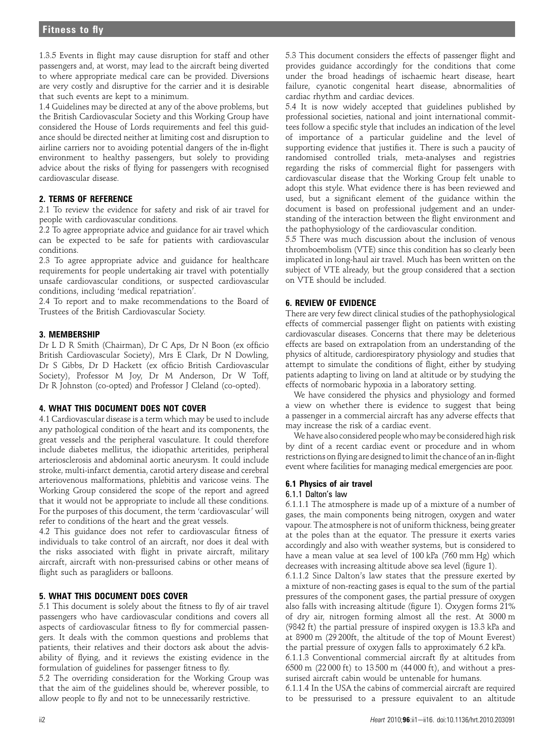1.3.5 Events in flight may cause disruption for staff and other passengers and, at worst, may lead to the aircraft being diverted to where appropriate medical care can be provided. Diversions are very costly and disruptive for the carrier and it is desirable that such events are kept to a minimum.

1.4 Guidelines may be directed at any of the above problems, but the British Cardiovascular Society and this Working Group have considered the House of Lords requirements and feel this guidance should be directed neither at limiting cost and disruption to airline carriers nor to avoiding potential dangers of the in-flight environment to healthy passengers, but solely to providing advice about the risks of flying for passengers with recognised cardiovascular disease.

#### 2. TERMS OF REFERENCE

2.1 To review the evidence for safety and risk of air travel for people with cardiovascular conditions.

2.2 To agree appropriate advice and guidance for air travel which can be expected to be safe for patients with cardiovascular conditions.

2.3 To agree appropriate advice and guidance for healthcare requirements for people undertaking air travel with potentially unsafe cardiovascular conditions, or suspected cardiovascular conditions, including 'medical repatriation'.

2.4 To report and to make recommendations to the Board of Trustees of the British Cardiovascular Society.

#### 3. MEMBERSHIP

Dr L D R Smith (Chairman), Dr C Aps, Dr N Boon (ex officio British Cardiovascular Society), Mrs E Clark, Dr N Dowling, Dr S Gibbs, Dr D Hackett (ex officio British Cardiovascular Society), Professor M Joy, Dr M Anderson, Dr W Toff, Dr R Johnston (co-opted) and Professor J Cleland (co-opted).

#### 4. WHAT THIS DOCUMENT DOES NOT COVER

4.1 Cardiovascular disease is a term which may be used to include any pathological condition of the heart and its components, the great vessels and the peripheral vasculature. It could therefore include diabetes mellitus, the idiopathic arteritides, peripheral arteriosclerosis and abdominal aortic aneurysm. It could include stroke, multi-infarct dementia, carotid artery disease and cerebral arteriovenous malformations, phlebitis and varicose veins. The Working Group considered the scope of the report and agreed that it would not be appropriate to include all these conditions. For the purposes of this document, the term 'cardiovascular' will refer to conditions of the heart and the great vessels.

4.2 This guidance does not refer to cardiovascular fitness of individuals to take control of an aircraft, nor does it deal with the risks associated with flight in private aircraft, military aircraft, aircraft with non-pressurised cabins or other means of flight such as paragliders or balloons.

#### 5. WHAT THIS DOCUMENT DOES COVER

5.1 This document is solely about the fitness to fly of air travel passengers who have cardiovascular conditions and covers all aspects of cardiovascular fitness to fly for commercial passengers. It deals with the common questions and problems that patients, their relatives and their doctors ask about the advisability of flying, and it reviews the existing evidence in the formulation of guidelines for passenger fitness to fly.

5.2 The overriding consideration for the Working Group was that the aim of the guidelines should be, wherever possible, to allow people to fly and not to be unnecessarily restrictive.

5.3 This document considers the effects of passenger flight and provides guidance accordingly for the conditions that come under the broad headings of ischaemic heart disease, heart failure, cyanotic congenital heart disease, abnormalities of cardiac rhythm and cardiac devices.

5.4 It is now widely accepted that guidelines published by professional societies, national and joint international committees follow a specific style that includes an indication of the level of importance of a particular guideline and the level of supporting evidence that justifies it. There is such a paucity of randomised controlled trials, meta-analyses and registries regarding the risks of commercial flight for passengers with cardiovascular disease that the Working Group felt unable to adopt this style. What evidence there is has been reviewed and used, but a significant element of the guidance within the document is based on professional judgement and an understanding of the interaction between the flight environment and the pathophysiology of the cardiovascular condition.

5.5 There was much discussion about the inclusion of venous thromboembolism (VTE) since this condition has so clearly been implicated in long-haul air travel. Much has been written on the subject of VTE already, but the group considered that a section on VTE should be included.

#### 6. REVIEW OF EVIDENCE

There are very few direct clinical studies of the pathophysiological effects of commercial passenger flight on patients with existing cardiovascular diseases. Concerns that there may be deleterious effects are based on extrapolation from an understanding of the physics of altitude, cardiorespiratory physiology and studies that attempt to simulate the conditions of flight, either by studying patients adapting to living on land at altitude or by studying the effects of normobaric hypoxia in a laboratory setting.

We have considered the physics and physiology and formed a view on whether there is evidence to suggest that being a passenger in a commercial aircraft has any adverse effects that may increase the risk of a cardiac event.

We have also considered people who may be considered high risk by dint of a recent cardiac event or procedure and in whom restrictions on flying are designed to limit the chance of an in-flight event where facilities for managing medical emergencies are poor.

#### 6.1 Physics of air travel

#### 6.1.1 Dalton's law

6.1.1.1 The atmosphere is made up of a mixture of a number of gases, the main components being nitrogen, oxygen and water vapour. The atmosphere is not of uniform thickness, being greater at the poles than at the equator. The pressure it exerts varies accordingly and also with weather systems, but is considered to have a mean value at sea level of 100 kPa (760 mm Hg) which decreases with increasing altitude above sea level (figure 1).

6.1.1.2 Since Dalton's law states that the pressure exerted by a mixture of non-reacting gases is equal to the sum of the partial pressures of the component gases, the partial pressure of oxygen also falls with increasing altitude (figure 1). Oxygen forms 21% of dry air, nitrogen forming almost all the rest. At 3000 m (9842 ft) the partial pressure of inspired oxygen is 13.3 kPa and at 8900 m (29 200ft, the altitude of the top of Mount Everest) the partial pressure of oxygen falls to approximately 6.2 kPa.

6.1.1.3 Conventional commercial aircraft fly at altitudes from 6500 m (22 000 ft) to 13 500 m (44 000 ft), and without a pressurised aircraft cabin would be untenable for humans.

6.1.1.4 In the USA the cabins of commercial aircraft are required to be pressurised to a pressure equivalent to an altitude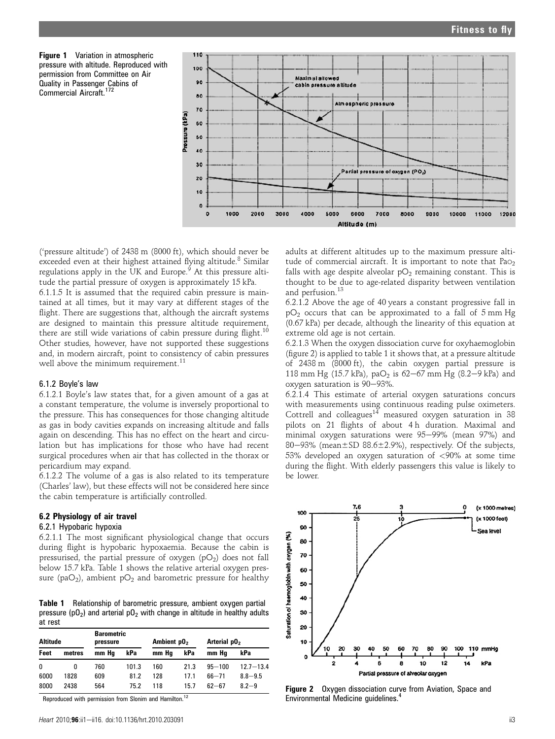**Figure 1** Variation in atmospheric pressure with altitude. Reproduced with permission from Committee on Air Quality in Passenger Cabins of Commercial Aircraft.<sup>172</sup>



('pressure altitude') of 2438 m (8000 ft), which should never be exceeded even at their highest attained flying altitude.<sup>8</sup> Similar regulations apply in the UK and Europe.<sup>9</sup> At this pressure altitude the partial pressure of oxygen is approximately 15 kPa.

6.1.1.5 It is assumed that the required cabin pressure is maintained at all times, but it may vary at different stages of the flight. There are suggestions that, although the aircraft systems are designed to maintain this pressure altitude requirement, there are still wide variations of cabin pressure during flight.<sup>10</sup> Other studies, however, have not supported these suggestions and, in modern aircraft, point to consistency of cabin pressures well above the minimum requirement.<sup>11</sup>

#### 6.1.2 Boyle's law

6.1.2.1 Boyle's law states that, for a given amount of a gas at a constant temperature, the volume is inversely proportional to the pressure. This has consequences for those changing altitude as gas in body cavities expands on increasing altitude and falls again on descending. This has no effect on the heart and circulation but has implications for those who have had recent surgical procedures when air that has collected in the thorax or pericardium may expand.

6.1.2.2 The volume of a gas is also related to its temperature (Charles' law), but these effects will not be considered here since the cabin temperature is artificially controlled.

#### 6.2 Physiology of air travel

#### 6.2.1 Hypobaric hypoxia

6.2.1.1 The most significant physiological change that occurs during flight is hypobaric hypoxaemia. Because the cabin is pressurised, the partial pressure of oxygen  $(pO_2)$  does not fall below 15.7 kPa. Table 1 shows the relative arterial oxygen pressure (paO<sub>2</sub>), ambient pO<sub>2</sub> and barometric pressure for healthy

Table 1 Relationship of barometric pressure, ambient oxygen partial pressure ( $pO_2$ ) and arterial  $pO_2$  with change in altitude in healthy adults at rest

| Altitude |        | <b>Barometric</b><br>pressure |       | Ambient p <sub>0</sub> |      | Arterial p <sub>0</sub> |               |
|----------|--------|-------------------------------|-------|------------------------|------|-------------------------|---------------|
| Feet     | metres | mm Hq                         | kPa   | mm Hq                  | kPa  | mm Ha                   | kPa           |
| 0        | 0      | 760                           | 101.3 | 160                    | 21.3 | $95 - 100$              | $12.7 - 13.4$ |
| 6000     | 1828   | 609                           | 81.2  | 128                    | 17.1 | $66 - 71$               | $8.8 - 9.5$   |
| 8000     | 2438   | 564                           | 75.2  | 118                    | 15.7 | $62 - 67$               | $8.2 - 9$     |

Reproduced with permission from Slonim and Hamilton.<sup>12</sup>

Heart 2010;96:ii1-ii16. doi:10.1136/hrt.2010.203091 ii3

adults at different altitudes up to the maximum pressure altitude of commercial aircraft. It is important to note that  $PaO<sub>2</sub>$ falls with age despite alveolar  $pO<sub>2</sub>$  remaining constant. This is thought to be due to age-related disparity between ventilation and perfusion.<sup>13</sup>

6.2.1.2 Above the age of 40 years a constant progressive fall in  $pO<sub>2</sub>$  occurs that can be approximated to a fall of 5 mm Hg (0.67 kPa) per decade, although the linearity of this equation at extreme old age is not certain.

6.2.1.3 When the oxygen dissociation curve for oxyhaemoglobin (figure 2) is applied to table 1 it shows that, at a pressure altitude of 2438 m (8000 ft), the cabin oxygen partial pressure is 118 mm Hg (15.7 kPa), paO<sub>2</sub> is  $62-67$  mm Hg (8.2-9 kPa) and oxygen saturation is  $90-93\%$ .

6.2.1.4 This estimate of arterial oxygen saturations concurs with measurements using continuous reading pulse oximeters. Cottrell and colleagues<sup>14</sup> measured oxygen saturation in 38 pilots on 21 flights of about 4 h duration. Maximal and minimal oxygen saturations were 95-99% (mean 97%) and 80-93% (mean $\pm$ SD 88.6 $\pm$ 2.9%), respectively. Of the subjects, 53% developed an oxygen saturation of <90% at some time during the flight. With elderly passengers this value is likely to be lower.



Figure 2 Oxygen dissociation curve from Aviation, Space and Environmental Medicine guidelines.<sup>4</sup>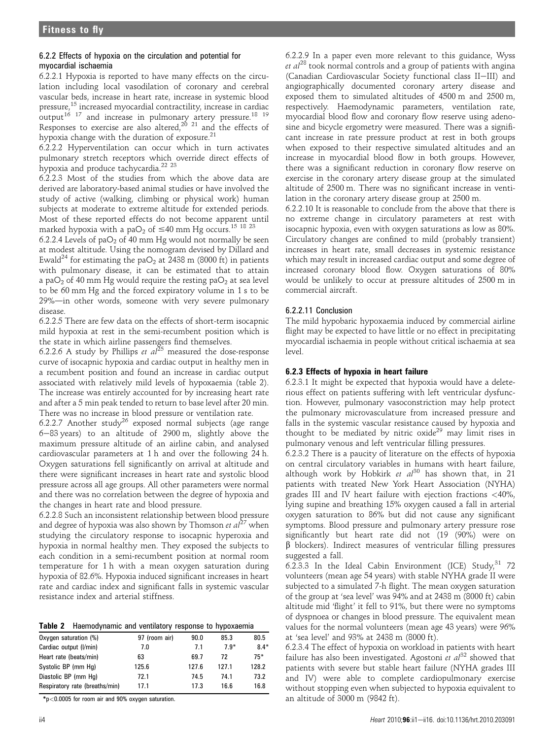#### 6.2.2 Effects of hypoxia on the circulation and potential for myocardial ischaemia

6.2.2.1 Hypoxia is reported to have many effects on the circulation including local vasodilation of coronary and cerebral vascular beds, increase in heart rate, increase in systemic blood pressure,<sup>15</sup> increased myocardial contractility, increase in cardiac output $^{16}$   $^{17}$  and increase in pulmonary artery pressure.<sup>18</sup>  $^{19}$ Responses to exercise are also altered, $^{20}$   $^{21}$  and the effects of hypoxia change with the duration of exposure.<sup>21</sup>

6.2.2.2 Hyperventilation can occur which in turn activates pulmonary stretch receptors which override direct effects of hypoxia and produce tachycardia.<sup>22</sup> <sup>23</sup>

6.2.2.3 Most of the studies from which the above data are derived are laboratory-based animal studies or have involved the study of active (walking, climbing or physical work) human subjects at moderate to extreme altitude for extended periods. Most of these reported effects do not become apparent until marked hypoxia with a paO<sub>2</sub> of  $\leq$ 40 mm Hg occurs.<sup>15 18 23</sup>

6.2.2.4 Levels of pa $O_2$  of 40 mm Hg would not normally be seen at modest altitude. Using the nomogram devised by Dillard and Ewald<sup>24</sup> for estimating the paO<sub>2</sub> at  $2438$  m (8000 ft) in patients with pulmonary disease, it can be estimated that to attain a pa $O_2$  of 40 mm Hg would require the resting pa $O_2$  at sea level to be 60 mm Hg and the forced expiratory volume in 1 s to be 29%-in other words, someone with very severe pulmonary disease.

6.2.2.5 There are few data on the effects of short-term isocapnic mild hypoxia at rest in the semi-recumbent position which is the state in which airline passengers find themselves.

6.2.2.6 A study by Phillips et  $a^{25}$  measured the dose-response curve of isocapnic hypoxia and cardiac output in healthy men in a recumbent position and found an increase in cardiac output associated with relatively mild levels of hypoxaemia (table 2). The increase was entirely accounted for by increasing heart rate and after a 5 min peak tended to return to base level after 20 min. There was no increase in blood pressure or ventilation rate.

6.2.2.7 Another study<sup>26</sup> exposed normal subjects (age range 6-83 years) to an altitude of 2900 m, slightly above the maximum pressure altitude of an airline cabin, and analysed cardiovascular parameters at 1 h and over the following 24 h. Oxygen saturations fell significantly on arrival at altitude and there were significant increases in heart rate and systolic blood pressure across all age groups. All other parameters were normal and there was no correlation between the degree of hypoxia and the changes in heart rate and blood pressure.

6.2.2.8 Such an inconsistent relationship between blood pressure and degree of hypoxia was also shown by Thomson et  $al^{27}$  when studying the circulatory response to isocapnic hyperoxia and hypoxia in normal healthy men. They exposed the subjects to each condition in a semi-recumbent position at normal room temperature for 1 h with a mean oxygen saturation during hypoxia of 82.6%. Hypoxia induced significant increases in heart rate and cardiac index and significant falls in systemic vascular resistance index and arterial stiffness.

| Table 2 Haemodynamic and ventilatory response to hypoxaemia |
|-------------------------------------------------------------|
|-------------------------------------------------------------|

| Oxygen saturation (%)          | 97 (room air) | 90.0  | 85.3   | 80.5   |
|--------------------------------|---------------|-------|--------|--------|
| Cardiac output (I/min)         | 7.0           | 7.1   | $7.9*$ | $8.4*$ |
| Heart rate (beats/min)         | 63            | 69.7  | 72     | 75*    |
| Systolic BP (mm Hq)            | 125.6         | 127.6 | 127.1  | 128.2  |
| Diastolic BP (mm Hq)           | 72.1          | 74.5  | 74.1   | 73.2   |
| Respiratory rate (breaths/min) | 17.1          | 17.3  | 16.6   | 16.8   |
|                                |               |       |        |        |

\*p<0.0005 for room air and 90% oxygen saturation.

6.2.2.9 In a paper even more relevant to this guidance, Wyss et  $al^{28}$  took normal controls and a group of patients with angina (Canadian Cardiovascular Society functional class II-III) and angiographically documented coronary artery disease and exposed them to simulated altitudes of 4500 m and 2500 m, respectively. Haemodynamic parameters, ventilation rate, myocardial blood flow and coronary flow reserve using adenosine and bicycle ergometry were measured. There was a significant increase in rate pressure product at rest in both groups when exposed to their respective simulated altitudes and an increase in myocardial blood flow in both groups. However, there was a significant reduction in coronary flow reserve on exercise in the coronary artery disease group at the simulated altitude of 2500 m. There was no significant increase in ventilation in the coronary artery disease group at 2500 m.

6.2.2.10 It is reasonable to conclude from the above that there is no extreme change in circulatory parameters at rest with isocapnic hypoxia, even with oxygen saturations as low as 80%. Circulatory changes are confined to mild (probably transient) increases in heart rate, small decreases in systemic resistance which may result in increased cardiac output and some degree of increased coronary blood flow. Oxygen saturations of 80% would be unlikely to occur at pressure altitudes of 2500 m in commercial aircraft.

#### 6.2.2.11 Conclusion

The mild hypobaric hypoxaemia induced by commercial airline flight may be expected to have little or no effect in precipitating myocardial ischaemia in people without critical ischaemia at sea level.

#### 6.2.3 Effects of hypoxia in heart failure

6.2.3.1 It might be expected that hypoxia would have a deleterious effect on patients suffering with left ventricular dysfunction. However, pulmonary vasoconstriction may help protect the pulmonary microvasculature from increased pressure and falls in the systemic vascular resistance caused by hypoxia and thought to be mediated by nitric oxide<sup>29</sup> may limit rises in pulmonary venous and left ventricular filling pressures.

6.2.3.2 There is a paucity of literature on the effects of hypoxia on central circulatory variables in humans with heart failure, although work by Hobkirk et  $al^{30}$  has shown that, in 21 patients with treated New York Heart Association (NYHA) grades III and IV heart failure with ejection fractions <40%, lying supine and breathing 15% oxygen caused a fall in arterial oxygen saturation to 86% but did not cause any significant symptoms. Blood pressure and pulmonary artery pressure rose significantly but heart rate did not (19 (90%) were on  $\beta$  blockers). Indirect measures of ventricular filling pressures suggested a fall.

6.2.3.3 In the Ideal Cabin Environment (ICE) Study,  $31$  72 volunteers (mean age 54 years) with stable NYHA grade II were subjected to a simulated 7-h flight. The mean oxygen saturation of the group at 'sea level' was 94% and at 2438 m (8000 ft) cabin altitude mid 'flight' it fell to 91%, but there were no symptoms of dyspnoea or changes in blood pressure. The equivalent mean values for the normal volunteers (mean age 43 years) were 96% at 'sea level' and 93% at 2438 m (8000 ft).

6.2.3.4 The effect of hypoxia on workload in patients with heart failure has also been investigated. Agostoni et  $a^{32}$  showed that patients with severe but stable heart failure (NYHA grades III and IV) were able to complete cardiopulmonary exercise without stopping even when subjected to hypoxia equivalent to an altitude of 3000 m (9842 ft).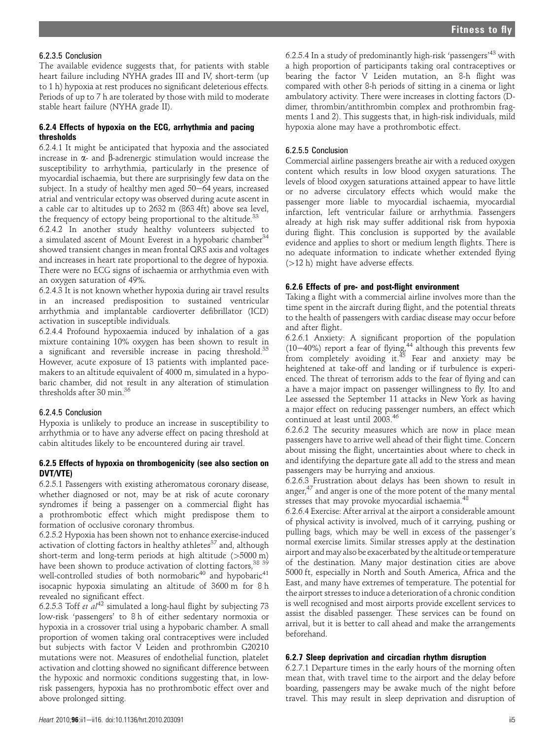#### 6.2.3.5 Conclusion

The available evidence suggests that, for patients with stable heart failure including NYHA grades III and IV, short-term (up to 1 h) hypoxia at rest produces no significant deleterious effects. Periods of up to 7 h are tolerated by those with mild to moderate stable heart failure (NYHA grade II).

#### 6.2.4 Effects of hypoxia on the ECG, arrhythmia and pacing thresholds

6.2.4.1 It might be anticipated that hypoxia and the associated increase in  $\alpha$ - and  $\beta$ -adrenergic stimulation would increase the susceptibility to arrhythmia, particularly in the presence of myocardial ischaemia, but there are surprisingly few data on the subject. In a study of healthy men aged 50-64 years, increased atrial and ventricular ectopy was observed during acute ascent in a cable car to altitudes up to 2632 m (863 4ft) above sea level, the frequency of ectopy being proportional to the altitude. $33$ 

6.2.4.2 In another study healthy volunteers subjected to a simulated ascent of Mount Everest in a hypobaric chamber<sup>34</sup> showed transient changes in mean frontal QRS axis and voltages and increases in heart rate proportional to the degree of hypoxia. There were no ECG signs of ischaemia or arrhythmia even with an oxygen saturation of 49%.

6.2.4.3 It is not known whether hypoxia during air travel results in an increased predisposition to sustained ventricular arrhythmia and implantable cardioverter defibrillator (ICD) activation in susceptible individuals.

6.2.4.4 Profound hypoxaemia induced by inhalation of a gas mixture containing 10% oxygen has been shown to result in a significant and reversible increase in pacing threshold.<sup>35</sup> However, acute exposure of 13 patients with implanted pacemakers to an altitude equivalent of 4000 m, simulated in a hypobaric chamber, did not result in any alteration of stimulation thresholds after 30 min.36

#### 6.2.4.5 Conclusion

Hypoxia is unlikely to produce an increase in susceptibility to arrhythmia or to have any adverse effect on pacing threshold at cabin altitudes likely to be encountered during air travel.

#### 6.2.5 Effects of hypoxia on thrombogenicity (see also section on DVT/VTE)

6.2.5.1 Passengers with existing atheromatous coronary disease, whether diagnosed or not, may be at risk of acute coronary syndromes if being a passenger on a commercial flight has a prothrombotic effect which might predispose them to formation of occlusive coronary thrombus.

6.2.5.2 Hypoxia has been shown not to enhance exercise-induced activation of clotting factors in healthy athletes<sup>37</sup> and, although short-term and long-term periods at high altitude (>5000 m) have been shown to produce activation of clotting factors, 38 39 well-controlled studies of both normobaric<sup>40</sup> and hypobaric<sup>41</sup> isocapnic hypoxia simulating an altitude of 3600 m for 8 h revealed no significant effect.

6.2.5.3 Toff et  $al^{42}$  simulated a long-haul flight by subjecting 73 low-risk 'passengers' to 8 h of either sedentary normoxia or hypoxia in a crossover trial using a hypobaric chamber. A small proportion of women taking oral contraceptives were included but subjects with factor V Leiden and prothrombin G20210 mutations were not. Measures of endothelial function, platelet activation and clotting showed no significant difference between the hypoxic and normoxic conditions suggesting that, in lowrisk passengers, hypoxia has no prothrombotic effect over and above prolonged sitting.

6.2.5.4 In a study of predominantly high-risk 'passengers' <sup>43</sup> with a high proportion of participants taking oral contraceptives or bearing the factor V Leiden mutation, an 8-h flight was compared with other 8-h periods of sitting in a cinema or light ambulatory activity. There were increases in clotting factors (Ddimer, thrombin/antithrombin complex and prothrombin fragments 1 and 2). This suggests that, in high-risk individuals, mild hypoxia alone may have a prothrombotic effect.

#### 6.2.5.5 Conclusion

Commercial airline passengers breathe air with a reduced oxygen content which results in low blood oxygen saturations. The levels of blood oxygen saturations attained appear to have little or no adverse circulatory effects which would make the passenger more liable to myocardial ischaemia, myocardial infarction, left ventricular failure or arrhythmia. Passengers already at high risk may suffer additional risk from hypoxia during flight. This conclusion is supported by the available evidence and applies to short or medium length flights. There is no adequate information to indicate whether extended flying (>12 h) might have adverse effects.

#### 6.2.6 Effects of pre- and post-flight environment

Taking a flight with a commercial airline involves more than the time spent in the aircraft during flight, and the potential threats to the health of passengers with cardiac disease may occur before and after flight.

6.2.6.1 Anxiety: A significant proportion of the population (10-40%) report a fear of flying, $44$  although this prevents few from completely avoiding it.<sup>45</sup> Fear and anxiety may be heightened at take-off and landing or if turbulence is experienced. The threat of terrorism adds to the fear of flying and can a have a major impact on passenger willingness to fly. Ito and Lee assessed the September 11 attacks in New York as having a major effect on reducing passenger numbers, an effect which continued at least until 2003.<sup>46</sup>

6.2.6.2 The security measures which are now in place mean passengers have to arrive well ahead of their flight time. Concern about missing the flight, uncertainties about where to check in and identifying the departure gate all add to the stress and mean passengers may be hurrying and anxious.

6.2.6.3 Frustration about delays has been shown to result in anger, $47$  and anger is one of the more potent of the many mental stresses that may provoke myocardial ischaemia.<sup>48</sup>

6.2.6.4 Exercise: After arrival at the airport a considerable amount of physical activity is involved, much of it carrying, pushing or pulling bags, which may be well in excess of the passenger's normal exercise limits. Similar stresses apply at the destination airport and may also be exacerbated by the altitude or temperature of the destination. Many major destination cities are above 5000 ft, especially in North and South America, Africa and the East, and many have extremes of temperature. The potential for the airport stresses to induce a deterioration of a chronic condition is well recognised and most airports provide excellent services to assist the disabled passenger. These services can be found on arrival, but it is better to call ahead and make the arrangements beforehand.

#### 6.2.7 Sleep deprivation and circadian rhythm disruption

6.2.7.1 Departure times in the early hours of the morning often mean that, with travel time to the airport and the delay before boarding, passengers may be awake much of the night before travel. This may result in sleep deprivation and disruption of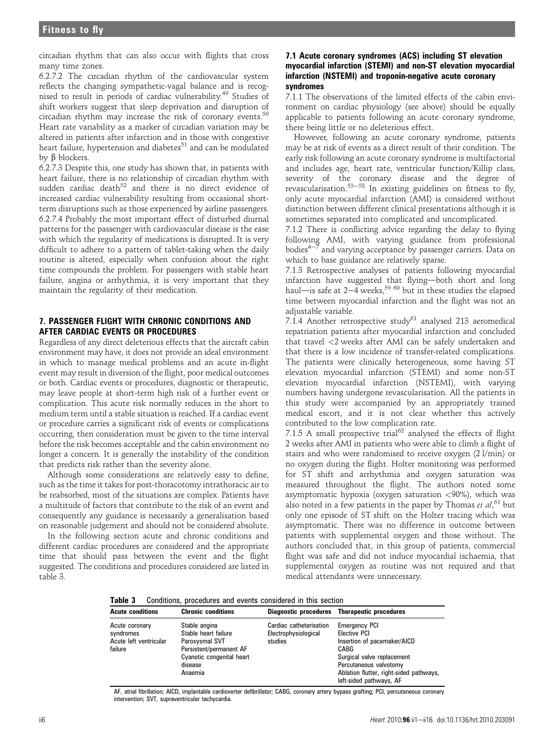circadian rhythm that can also occur with flights that cross many time zones.

6.2.7.2 The circadian rhythm of the cardiovascular system reflects the changing sympathetic-vagal balance and is recognised to result in periods of cardiac vulnerability.49 Studies of shift workers suggest that sleep deprivation and disruption of circadian rhythm may increase the risk of coronary events.<sup>50</sup> Heart rate variability as a marker of circadian variation may be altered in patients after infarction and in those with congestive heart failure, hypertension and diabetes<sup>51</sup> and can be modulated by  $\beta$  blockers.

6.2.7.3 Despite this, one study has shown that, in patients with heart failure, there is no relationship of circadian rhythm with sudden cardiac death<sup>52</sup> and there is no direct evidence of increased cardiac vulnerability resulting from occasional shortterm disruptions such as those experienced by airline passengers. 6.2.7.4 Probably the most important effect of disturbed diurnal patterns for the passenger with cardiovascular disease is the ease with which the regularity of medications is disrupted. It is very difficult to adhere to a pattern of tablet-taking when the daily routine is altered, especially when confusion about the right time compounds the problem. For passengers with stable heart failure, angina or arrhythmia, it is very important that they maintain the regularity of their medication.

#### 7. PASSENGER FLIGHT WITH CHRONIC CONDITIONS AND AFTER CARDIAC EVENTS OR PROCEDURES

Regardless of any direct deleterious effects that the aircraft cabin environment may have, it does not provide an ideal environment in which to manage medical problems and an acute in-flight event may result in diversion of the flight, poor medical outcomes or both. Cardiac events or procedures, diagnostic or therapeutic, may leave people at short-term high risk of a further event or complication. This acute risk normally reduces in the short to medium term until a stable situation is reached. If a cardiac event or procedure carries a significant risk of events or complications occurring, then consideration must be given to the time interval before the risk becomes acceptable and the cabin environment no longer a concern. It is generally the instability of the condition that predicts risk rather than the severity alone.

Although some considerations are relatively easy to define, such as the time it takes for post-thoracotomy intrathoracic air to be reabsorbed, most of the situations are complex. Patients have a multitude of factors that contribute to the risk of an event and consequently any guidance is necessarily a generalisation based on reasonable judgement and should not be considered absolute.

In the following section acute and chronic conditions and different cardiac procedures are considered and the appropriate time that should pass between the event and the flight suggested. The conditions and procedures considered are listed in table 3.

#### 7.1 Acute coronary syndromes (ACS) including ST elevation myocardial infarction (STEMI) and non-ST elevation myocardial infarction (NSTEMI) and troponin-negative acute coronary syndromes

7.1.1 The observations of the limited effects of the cabin environment on cardiac physiology (see above) should be equally applicable to patients following an acute coronary syndrome, there being little or no deleterious effect.

However, following an acute coronary syndrome, patients may be at risk of events as a direct result of their condition. The early risk following an acute coronary syndrome is multifactorial and includes age, heart rate, ventricular function/Killip class, severity of the coronary disease and the degree of revascularisation. $53-58$  In existing guidelines on fitness to fly, only acute myocardial infarction (AMI) is considered without distinction between different clinical presentations although it is sometimes separated into complicated and uncomplicated.

7.1.2 There is conflicting advice regarding the delay to flying following AMI, with varying guidance from professional bodies $4-7$  and varying acceptance by passenger carriers. Data on which to base guidance are relatively sparse.

7.1.3 Retrospective analyses of patients following myocardial infarction have suggested that flying-both short and long haul—is safe at  $2-4$  weeks,<sup>59 60</sup> but in these studies the elapsed time between myocardial infarction and the flight was not an adjustable variable.

7.1.4 Another retrospective study<sup>61</sup> analysed 213 aeromedical repatriation patients after myocardial infarction and concluded that travel <2 weeks after AMI can be safely undertaken and that there is a low incidence of transfer-related complications. The patients were clinically heterogeneous, some having ST elevation myocardial infarction (STEMI) and some non-ST elevation myocardial infarction (NSTEMI), with varying numbers having undergone revascularisation. All the patients in this study were accompanied by an appropriately trained medical escort, and it is not clear whether this actively contributed to the low complication rate.

7.1.5 A small prospective trial<sup>62</sup> analysed the effects of flight 2 weeks after AMI in patients who were able to climb a flight of stairs and who were randomised to receive oxygen (2 l/min) or no oxygen during the flight. Holter monitoring was performed for ST shift and arrhythmia and oxygen saturation was measured throughout the flight. The authors noted some asymptomatic hypoxia (oxygen saturation  $\langle 90\% \rangle$ , which was also noted in a few patients in the paper by Thomas et  $al$ ,  $61$  but only one episode of ST shift on the Holter tracing which was asymptomatic. There was no difference in outcome between patients with supplemental oxygen and those without. The authors concluded that, in this group of patients, commercial flight was safe and did not induce myocardial ischaemia, that supplemental oxygen as routine was not required and that medical attendants were unnecessary.

Table 3 Conditions, procedures and events considered in this section

| <b>Acute conditions</b>                                          | <b>Chronic conditions</b>                                                                                                             |                                                            | Diagnostic procedures Therapeutic procedures                                                                                                                                                              |
|------------------------------------------------------------------|---------------------------------------------------------------------------------------------------------------------------------------|------------------------------------------------------------|-----------------------------------------------------------------------------------------------------------------------------------------------------------------------------------------------------------|
| Acute coronary<br>syndromes<br>Acute left ventricular<br>failure | Stable angina<br>Stable heart failure<br>Paroxysmal SVT<br>Persistent/permanent AF<br>Cyanotic congenital heart<br>disease<br>Anaemia | Cardiac catheterisation<br>Electrophysiological<br>studies | Emergency PCI<br><b>Elective PCI</b><br>Insertion of pacemaker/AICD<br>CABG<br>Surgical valve replacement<br>Percutaneous valvotomy<br>Ablation flutter, right-sided pathways,<br>left-sided pathways, AF |

AF, atrial fibrillation; AICD, implantable cardioverter defibrillator; CABG, coronary artery bypass grafting; PCI, percutaneous coronary intervention; SVT, supraventricular tachycardia.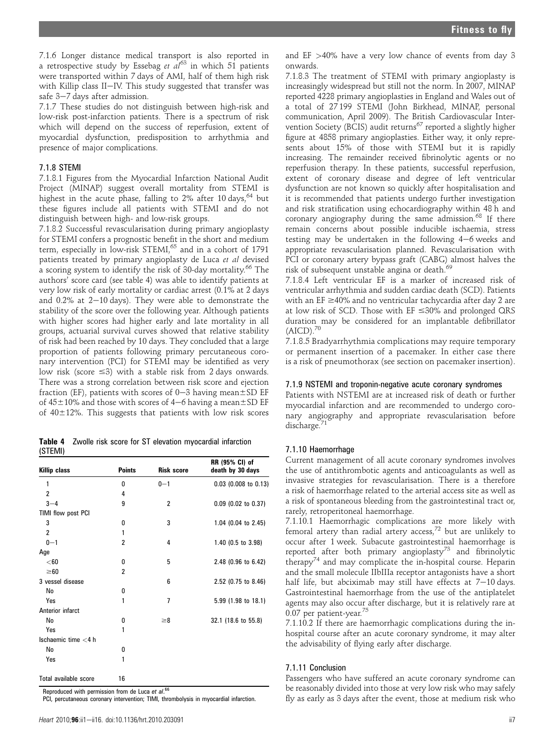7.1.6 Longer distance medical transport is also reported in a retrospective study by Essebag et  $a^{163}$  in which 51 patients were transported within 7 days of AMI, half of them high risk with Killip class II-IV. This study suggested that transfer was safe 3-7 days after admission.

7.1.7 These studies do not distinguish between high-risk and low-risk post-infarction patients. There is a spectrum of risk which will depend on the success of reperfusion, extent of myocardial dysfunction, predisposition to arrhythmia and presence of major complications.

#### 7.1.8 STEMI

7.1.8.1 Figures from the Myocardial Infarction National Audit Project (MINAP) suggest overall mortality from STEMI is highest in the acute phase, falling to  $2\%$  after 10 days,  $64$  but these figures include all patients with STEMI and do not distinguish between high- and low-risk groups.

7.1.8.2 Successful revascularisation during primary angioplasty for STEMI confers a prognostic benefit in the short and medium term, especially in low-risk STEMI,<sup>65</sup> and in a cohort of 1791 patients treated by primary angioplasty de Luca et al devised a scoring system to identify the risk of 30-day mortality.<sup>66</sup> The authors' score card (see table 4) was able to identify patients at very low risk of early mortality or cardiac arrest (0.1% at 2 days and  $0.2\%$  at  $2-10$  days). They were able to demonstrate the stability of the score over the following year. Although patients with higher scores had higher early and late mortality in all groups, actuarial survival curves showed that relative stability of risk had been reached by 10 days. They concluded that a large proportion of patients following primary percutaneous coronary intervention (PCI) for STEMI may be identified as very low risk (score  $\leq 3$ ) with a stable risk from 2 days onwards. There was a strong correlation between risk score and ejection fraction (EF), patients with scores of  $0-3$  having mean $\pm$ SD EF of  $45\pm10$ % and those with scores of  $4-6$  having a mean $\pm$ SD EF of  $40\pm12$ %. This suggests that patients with low risk scores

Table 4 Zwolle risk score for ST elevation myocardial infarction (STEMI)

| Killip class           | <b>Points</b> | <b>Risk score</b> | RR (95% CI) of<br>death by 30 days |
|------------------------|---------------|-------------------|------------------------------------|
| 1                      | 0             | $0 - 1$           | $0.03$ (0.008 to 0.13)             |
| 2                      | 4             |                   |                                    |
| $3 - 4$                | 9             | $\overline{2}$    | $0.09$ (0.02 to 0.37)              |
| TIMI flow post PCI     |               |                   |                                    |
| 3                      | 0             | 3                 | 1.04 (0.04 to 2.45)                |
| 2                      | 1             |                   |                                    |
| $0 - 1$                | 2             | 4                 | 1.40 (0.5 to 3.98)                 |
| Age                    |               |                   |                                    |
| $<$ 60                 | 0             | 5                 | 2.48 (0.96 to 6.42)                |
| $\geq 60$              | 2             |                   |                                    |
| 3 vessel disease       |               | 6                 | 2.52 (0.75 to 8.46)                |
| No                     | 0             |                   |                                    |
| Yes                    | 1             | 7                 | 5.99 (1.98 to 18.1)                |
| Anterior infarct       |               |                   |                                    |
| No                     | 0             | ≥8                | 32.1 (18.6 to 55.8)                |
| Yes                    | 1             |                   |                                    |
| Ischaemic time $<$ 4 h |               |                   |                                    |
| No                     | 0             |                   |                                    |
| Yes                    | 1             |                   |                                    |
| Total available score  | 16            |                   |                                    |

Reproduced with permission from de Luca et al.<sup>66</sup>

PCI, percutaneous coronary intervention; TIMI, thrombolysis in myocardial infarction.

and EF >40% have a very low chance of events from day 3 onwards.

7.1.8.3 The treatment of STEMI with primary angioplasty is increasingly widespread but still not the norm. In 2007, MINAP reported 4228 primary angioplasties in England and Wales out of a total of 27 199 STEMI (John Birkhead, MINAP, personal communication, April 2009). The British Cardiovascular Intervention Society (BCIS) audit returns<sup>67</sup> reported a slightly higher figure at 4858 primary angioplasties. Either way, it only represents about 15% of those with STEMI but it is rapidly increasing. The remainder received fibrinolytic agents or no reperfusion therapy. In these patients, successful reperfusion, extent of coronary disease and degree of left ventricular dysfunction are not known so quickly after hospitalisation and it is recommended that patients undergo further investigation and risk stratification using echocardiography within 48 h and coronary angiography during the same admission. $68$  If there remain concerns about possible inducible ischaemia, stress testing may be undertaken in the following  $4-6$  weeks and appropriate revascularisation planned. Revascularisation with PCI or coronary artery bypass graft (CABG) almost halves the risk of subsequent unstable angina or death.<sup>69</sup>

7.1.8.4 Left ventricular EF is a marker of increased risk of ventricular arrhythmia and sudden cardiac death (SCD). Patients with an EF  $\geq$ 40% and no ventricular tachycardia after day 2 are at low risk of SCD. Those with  $EF \leq 30\%$  and prolonged QRS duration may be considered for an implantable defibrillator  $(AICD).$ <sup>70</sup>

7.1.8.5 Bradyarrhythmia complications may require temporary or permanent insertion of a pacemaker. In either case there is a risk of pneumothorax (see section on pacemaker insertion).

#### 7.1.9 NSTEMI and troponin-negative acute coronary syndromes

Patients with NSTEMI are at increased risk of death or further myocardial infarction and are recommended to undergo coronary angiography and appropriate revascularisation before discharge. $1$ 

#### 7.1.10 Haemorrhage

Current management of all acute coronary syndromes involves the use of antithrombotic agents and anticoagulants as well as invasive strategies for revascularisation. There is a therefore a risk of haemorrhage related to the arterial access site as well as a risk of spontaneous bleeding from the gastrointestinal tract or, rarely, retroperitoneal haemorrhage.

7.1.10.1 Haemorrhagic complications are more likely with femoral artery than radial artery access, $72$  but are unlikely to occur after 1 week. Subacute gastrointestinal haemorrhage is reported after both primary angioplasty<sup>73</sup> and fibrinolytic therapy<sup>74</sup> and may complicate the in-hospital course. Heparin and the small molecule IIbIIIa receptor antagonists have a short half life, but abciximab may still have effects at  $7-10$  days. Gastrointestinal haemorrhage from the use of the antiplatelet agents may also occur after discharge, but it is relatively rare at 0.07 per patient-year.<sup>75</sup>

7.1.10.2 If there are haemorrhagic complications during the inhospital course after an acute coronary syndrome, it may alter the advisability of flying early after discharge.

#### 7.1.11 Conclusion

Passengers who have suffered an acute coronary syndrome can be reasonably divided into those at very low risk who may safely fly as early as 3 days after the event, those at medium risk who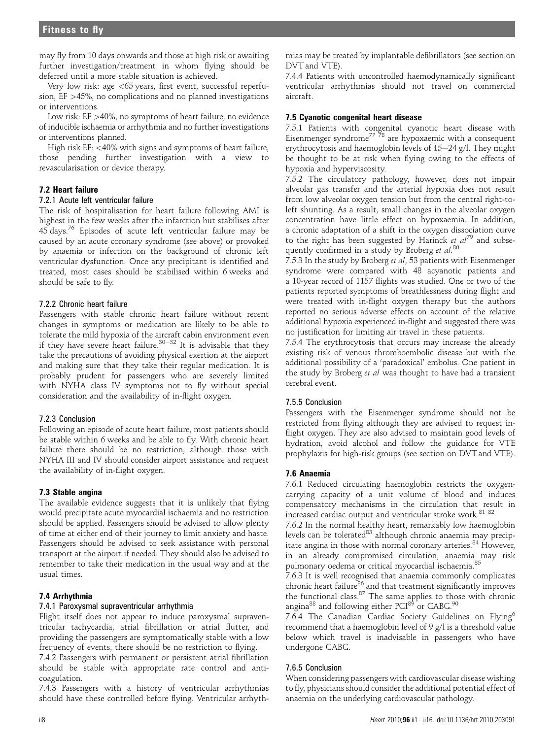may fly from 10 days onwards and those at high risk or awaiting further investigation/treatment in whom flying should be deferred until a more stable situation is achieved.

Very low risk: age <65 years, first event, successful reperfusion, EF >45%, no complications and no planned investigations or interventions.

Low risk: EF >40%, no symptoms of heart failure, no evidence of inducible ischaemia or arrhythmia and no further investigations or interventions planned.

High risk EF: <40% with signs and symptoms of heart failure, those pending further investigation with a view to revascularisation or device therapy.

#### 7.2 Heart failure

#### 7.2.1 Acute left ventricular failure

The risk of hospitalisation for heart failure following AMI is highest in the few weeks after the infarction but stabilises after 45 days.<sup>76</sup> Episodes of acute left ventricular failure may be caused by an acute coronary syndrome (see above) or provoked by anaemia or infection on the background of chronic left ventricular dysfunction. Once any precipitant is identified and treated, most cases should be stabilised within 6 weeks and should be safe to fly.

#### 7.2.2 Chronic heart failure

Passengers with stable chronic heart failure without recent changes in symptoms or medication are likely to be able to tolerate the mild hypoxia of the aircraft cabin environment even if they have severe heart failure.<sup>30–32</sup> It is advisable that they take the precautions of avoiding physical exertion at the airport and making sure that they take their regular medication. It is probably prudent for passengers who are severely limited with NYHA class IV symptoms not to fly without special consideration and the availability of in-flight oxygen.

#### 7.2.3 Conclusion

Following an episode of acute heart failure, most patients should be stable within 6 weeks and be able to fly. With chronic heart failure there should be no restriction, although those with NYHA III and IV should consider airport assistance and request the availability of in-flight oxygen.

#### 7.3 Stable angina

The available evidence suggests that it is unlikely that flying would precipitate acute myocardial ischaemia and no restriction should be applied. Passengers should be advised to allow plenty of time at either end of their journey to limit anxiety and haste. Passengers should be advised to seek assistance with personal transport at the airport if needed. They should also be advised to remember to take their medication in the usual way and at the usual times.

#### 7.4 Arrhythmia

#### 7.4.1 Paroxysmal supraventricular arrhythmia

Flight itself does not appear to induce paroxysmal supraventricular tachycardia, atrial fibrillation or atrial flutter, and providing the passengers are symptomatically stable with a low frequency of events, there should be no restriction to flying.

7.4.2 Passengers with permanent or persistent atrial fibrillation should be stable with appropriate rate control and anticoagulation.

7.4.3 Passengers with a history of ventricular arrhythmias should have these controlled before flying. Ventricular arrhythmias may be treated by implantable defibrillators (see section on DVT and VTE).

7.4.4 Patients with uncontrolled haemodynamically significant ventricular arrhythmias should not travel on commercial aircraft.

#### 7.5 Cyanotic congenital heart disease

7.5.1 Patients with congenital cyanotic heart disease with Eisenmenger syndrome<sup>77</sup> <sup>8</sup> are hypoxaemic with a consequent erythrocytosis and haemoglobin levels of  $15-24$  g/l. They might be thought to be at risk when flying owing to the effects of hypoxia and hyperviscosity.

7.5.2 The circulatory pathology, however, does not impair alveolar gas transfer and the arterial hypoxia does not result from low alveolar oxygen tension but from the central right-toleft shunting. As a result, small changes in the alveolar oxygen concentration have little effect on hypoxaemia. In addition, a chronic adaptation of a shift in the oxygen dissociation curve to the right has been suggested by Harinck et  $al^{79}$  and subsequently confirmed in a study by Broberg et al.<sup>80</sup>

7.5.3 In the study by Broberg et al, 53 patients with Eisenmenger syndrome were compared with 48 acyanotic patients and a 10-year record of 1157 flights was studied. One or two of the patients reported symptoms of breathlessness during flight and were treated with in-flight oxygen therapy but the authors reported no serious adverse effects on account of the relative additional hypoxia experienced in-flight and suggested there was no justification for limiting air travel in these patients.

7.5.4 The erythrocytosis that occurs may increase the already existing risk of venous thromboembolic disease but with the additional possibility of a 'paradoxical' embolus. One patient in the study by Broberg et al was thought to have had a transient cerebral event.

#### 7.5.5 Conclusion

Passengers with the Eisenmenger syndrome should not be restricted from flying although they are advised to request inflight oxygen. They are also advised to maintain good levels of hydration, avoid alcohol and follow the guidance for VTE prophylaxis for high-risk groups (see section on DVT and VTE).

#### 7.6 Anaemia

7.6.1 Reduced circulating haemoglobin restricts the oxygencarrying capacity of a unit volume of blood and induces compensatory mechanisms in the circulation that result in increased cardiac output and ventricular stroke work. $81$   $82$ 

7.6.2 In the normal healthy heart, remarkably low haemoglobin levels can be tolerated<sup>83</sup> although chronic anaemia may precipitate angina in those with normal coronary arteries.<sup>84</sup> However, in an already compromised circulation, anaemia may risk pulmonary oedema or critical myocardial ischaemia.<sup>85</sup>

7.6.3 It is well recognised that anaemia commonly complicates chronic heart failure<sup>86</sup> and that treatment significantly improves the functional class.<sup>87</sup> The same applies to those with chronic angina<sup>88</sup> and following either PCI<sup>89</sup> or CABG.<sup>90</sup>

7.6.4 The Canadian Cardiac Society Guidelines on Flying<sup>6</sup> recommend that a haemoglobin level of 9 g/l is a threshold value below which travel is inadvisable in passengers who have undergone CABG.

#### 7.6.5 Conclusion

When considering passengers with cardiovascular disease wishing to fly, physicians should consider the additional potential effect of anaemia on the underlying cardiovascular pathology.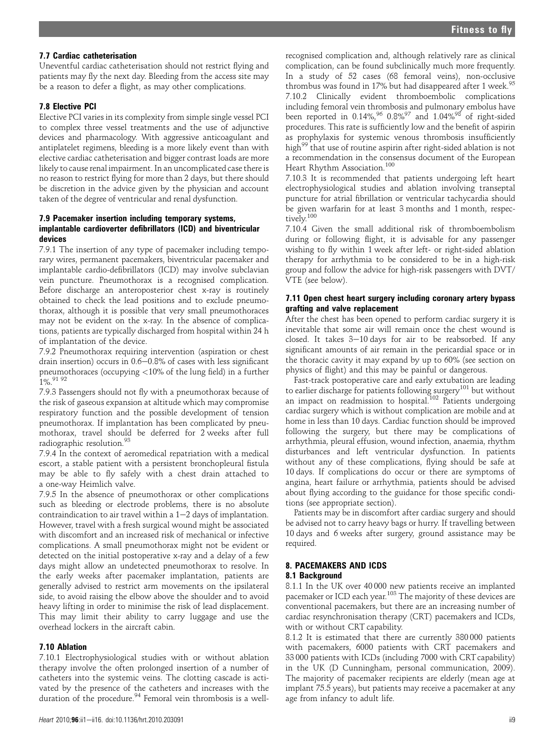#### 7.7 Cardiac catheterisation

Uneventful cardiac catheterisation should not restrict flying and patients may fly the next day. Bleeding from the access site may be a reason to defer a flight, as may other complications.

#### 7.8 Elective PCI

Elective PCI varies in its complexity from simple single vessel PCI to complex three vessel treatments and the use of adjunctive devices and pharmacology. With aggressive anticoagulant and antiplatelet regimens, bleeding is a more likely event than with elective cardiac catheterisation and bigger contrast loads are more likely to cause renal impairment. In an uncomplicated case there is no reason to restrict flying for more than 2 days, but there should be discretion in the advice given by the physician and account taken of the degree of ventricular and renal dysfunction.

#### 7.9 Pacemaker insertion including temporary systems, implantable cardioverter defibrillators (ICD) and biventricular devices

7.9.1 The insertion of any type of pacemaker including temporary wires, permanent pacemakers, biventricular pacemaker and implantable cardio-defibrillators (ICD) may involve subclavian vein puncture. Pneumothorax is a recognised complication. Before discharge an anteroposterior chest x-ray is routinely obtained to check the lead positions and to exclude pneumothorax, although it is possible that very small pneumothoraces may not be evident on the x-ray. In the absence of complications, patients are typically discharged from hospital within 24 h of implantation of the device.

7.9.2 Pneumothorax requiring intervention (aspiration or chest drain insertion) occurs in  $0.6-0.8\%$  of cases with less significant pneumothoraces (occupying <10% of the lung field) in a further  $1\%$ . 91 92

7.9.3 Passengers should not fly with a pneumothorax because of the risk of gaseous expansion at altitude which may compromise respiratory function and the possible development of tension pneumothorax. If implantation has been complicated by pneumothorax, travel should be deferred for 2 weeks after full radiographic resolution.<sup>93</sup>

7.9.4 In the context of aeromedical repatriation with a medical escort, a stable patient with a persistent bronchopleural fistula may be able to fly safely with a chest drain attached to a one-way Heimlich valve.

7.9.5 In the absence of pneumothorax or other complications such as bleeding or electrode problems, there is no absolute contraindication to air travel within a  $1-2$  days of implantation. However, travel with a fresh surgical wound might be associated with discomfort and an increased risk of mechanical or infective complications. A small pneumothorax might not be evident or detected on the initial postoperative x-ray and a delay of a few days might allow an undetected pneumothorax to resolve. In the early weeks after pacemaker implantation, patients are generally advised to restrict arm movements on the ipsilateral side, to avoid raising the elbow above the shoulder and to avoid heavy lifting in order to minimise the risk of lead displacement. This may limit their ability to carry luggage and use the overhead lockers in the aircraft cabin.

#### 7.10 Ablation

7.10.1 Electrophysiological studies with or without ablation therapy involve the often prolonged insertion of a number of catheters into the systemic veins. The clotting cascade is activated by the presence of the catheters and increases with the duration of the procedure.<sup>94</sup> Femoral vein thrombosis is a well-

recognised complication and, although relatively rare as clinical complication, can be found subclinically much more frequently. In a study of 52 cases (68 femoral veins), non-occlusive thrombus was found in 17% but had disappeared after 1 week.<sup>95</sup> 7.10.2 Clinically evident thromboembolic complications including femoral vein thrombosis and pulmonary embolus have been reported in 0.14%,  $96$  0.8% $97$  and 1.04% $98$  of right-sided procedures. This rate is sufficiently low and the benefit of aspirin as prophylaxis for systemic venous thrombosis insufficiently high<sup>99</sup> that use of routine aspirin after right-sided ablation is not a recommendation in the consensus document of the European Heart Rhythm Association.<sup>100</sup>

7.10.3 It is recommended that patients undergoing left heart electrophysiological studies and ablation involving transeptal puncture for atrial fibrillation or ventricular tachycardia should be given warfarin for at least 3 months and 1 month, respectively.<sup>100</sup>

7.10.4 Given the small additional risk of thromboembolism during or following flight, it is advisable for any passenger wishing to fly within 1 week after left- or right-sided ablation therapy for arrhythmia to be considered to be in a high-risk group and follow the advice for high-risk passengers with DVT/ VTE (see below).

#### 7.11 Open chest heart surgery including coronary artery bypass grafting and valve replacement

After the chest has been opened to perform cardiac surgery it is inevitable that some air will remain once the chest wound is closed. It takes  $3-10$  days for air to be reabsorbed. If any significant amounts of air remain in the pericardial space or in the thoracic cavity it may expand by up to 60% (see section on physics of flight) and this may be painful or dangerous.

Fast-track postoperative care and early extubation are leading to earlier discharge for patients following surgery<sup>101</sup> but without an impact on readmission to hospital.<sup>102</sup> Patients undergoing cardiac surgery which is without complication are mobile and at home in less than 10 days. Cardiac function should be improved following the surgery, but there may be complications of arrhythmia, pleural effusion, wound infection, anaemia, rhythm disturbances and left ventricular dysfunction. In patients without any of these complications, flying should be safe at 10 days. If complications do occur or there are symptoms of angina, heart failure or arrhythmia, patients should be advised about flying according to the guidance for those specific conditions (see appropriate section).

Patients may be in discomfort after cardiac surgery and should be advised not to carry heavy bags or hurry. If travelling between 10 days and 6 weeks after surgery, ground assistance may be required.

#### 8. PACEMAKERS AND ICDS 8.1 Background

8.1.1 In the UK over 40 000 new patients receive an implanted pacemaker or ICD each year.<sup>103</sup> The majority of these devices are conventional pacemakers, but there are an increasing number of cardiac resynchronisation therapy (CRT) pacemakers and ICDs, with or without CRT capability.

8.1.2 It is estimated that there are currently 380 000 patients with pacemakers, 6000 patients with CRT pacemakers and 33 000 patients with ICDs (including 7000 with CRT capability) in the UK (D Cunningham, personal communication, 2009). The majority of pacemaker recipients are elderly (mean age at implant 75.5 years), but patients may receive a pacemaker at any age from infancy to adult life.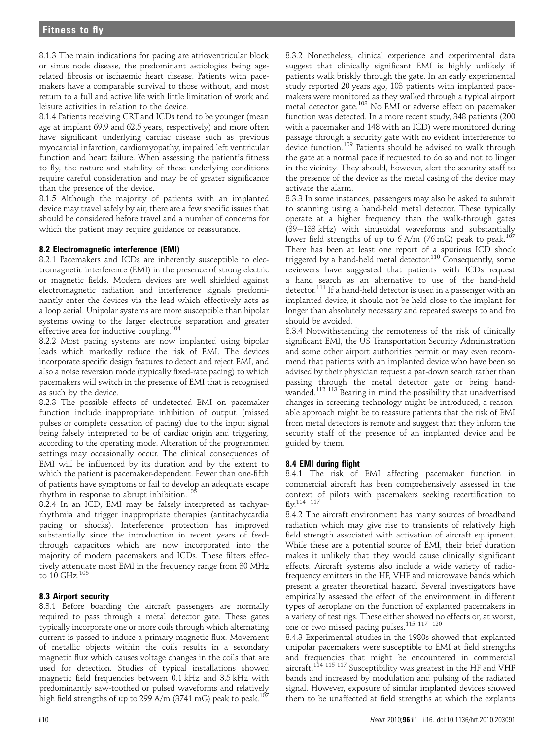8.1.3 The main indications for pacing are atrioventricular block or sinus node disease, the predominant aetiologies being agerelated fibrosis or ischaemic heart disease. Patients with pacemakers have a comparable survival to those without, and most return to a full and active life with little limitation of work and leisure activities in relation to the device.

8.1.4 Patients receiving CRTand ICDs tend to be younger (mean age at implant 69.9 and 62.5 years, respectively) and more often have significant underlying cardiac disease such as previous myocardial infarction, cardiomyopathy, impaired left ventricular function and heart failure. When assessing the patient's fitness to fly, the nature and stability of these underlying conditions require careful consideration and may be of greater significance than the presence of the device.

8.1.5 Although the majority of patients with an implanted device may travel safely by air, there are a few specific issues that should be considered before travel and a number of concerns for which the patient may require guidance or reassurance.

#### 8.2 Electromagnetic interference (EMI)

8.2.1 Pacemakers and ICDs are inherently susceptible to electromagnetic interference (EMI) in the presence of strong electric or magnetic fields. Modern devices are well shielded against electromagnetic radiation and interference signals predominantly enter the devices via the lead which effectively acts as a loop aerial. Unipolar systems are more susceptible than bipolar systems owing to the larger electrode separation and greater effective area for inductive coupling.<sup>104</sup>

8.2.2 Most pacing systems are now implanted using bipolar leads which markedly reduce the risk of EMI. The devices incorporate specific design features to detect and reject EMI, and also a noise reversion mode (typically fixed-rate pacing) to which pacemakers will switch in the presence of EMI that is recognised as such by the device.

8.2.3 The possible effects of undetected EMI on pacemaker function include inappropriate inhibition of output (missed pulses or complete cessation of pacing) due to the input signal being falsely interpreted to be of cardiac origin and triggering, according to the operating mode. Alteration of the programmed settings may occasionally occur. The clinical consequences of EMI will be influenced by its duration and by the extent to which the patient is pacemaker-dependent. Fewer than one-fifth of patients have symptoms or fail to develop an adequate escape rhythm in response to abrupt inhibition.<sup>105</sup>

8.2.4 In an ICD, EMI may be falsely interpreted as tachyarrhythmia and trigger inappropriate therapies (antitachycardia pacing or shocks). Interference protection has improved substantially since the introduction in recent years of feedthrough capacitors which are now incorporated into the majority of modern pacemakers and ICDs. These filters effectively attenuate most EMI in the frequency range from 30 MHz to 10 GHz.<sup>106</sup>

#### 8.3 Airport security

8.3.1 Before boarding the aircraft passengers are normally required to pass through a metal detector gate. These gates typically incorporate one or more coils through which alternating current is passed to induce a primary magnetic flux. Movement of metallic objects within the coils results in a secondary magnetic flux which causes voltage changes in the coils that are used for detection. Studies of typical installations showed magnetic field frequencies between 0.1 kHz and 3.5 kHz with predominantly saw-toothed or pulsed waveforms and relatively high field strengths of up to 299 A/m (3741 mG) peak to peak.<sup>107</sup> 8.3.2 Nonetheless, clinical experience and experimental data suggest that clinically significant EMI is highly unlikely if patients walk briskly through the gate. In an early experimental study reported 20 years ago, 103 patients with implanted pacemakers were monitored as they walked through a typical airport metal detector gate.<sup>108</sup> No EMI or adverse effect on pacemaker function was detected. In a more recent study, 348 patients (200 with a pacemaker and 148 with an ICD) were monitored during passage through a security gate with no evident interference to device function.<sup>109</sup> Patients should be advised to walk through the gate at a normal pace if requested to do so and not to linger in the vicinity. They should, however, alert the security staff to the presence of the device as the metal casing of the device may activate the alarm.

8.3.3 In some instances, passengers may also be asked to submit to scanning using a hand-held metal detector. These typically operate at a higher frequency than the walk-through gates  $(89-133 \text{ kHz})$  with sinusoidal waveforms and substantially lower field strengths of up to  $6 \text{ A/m}$  (76 mG) peak to peak.<sup>107</sup> There has been at least one report of a spurious ICD shock triggered by a hand-held metal detector.<sup>110</sup> Consequently, some reviewers have suggested that patients with ICDs request a hand search as an alternative to use of the hand-held  $\rm{detector.}^{111}$  If a hand-held detector is used in a passenger with an implanted device, it should not be held close to the implant for longer than absolutely necessary and repeated sweeps to and fro should be avoided.

8.3.4 Notwithstanding the remoteness of the risk of clinically significant EMI, the US Transportation Security Administration and some other airport authorities permit or may even recommend that patients with an implanted device who have been so advised by their physician request a pat-down search rather than passing through the metal detector gate or being handwanded.<sup>112</sup> <sup>113</sup> Bearing in mind the possibility that unadvertised changes in screening technology might be introduced, a reasonable approach might be to reassure patients that the risk of EMI from metal detectors is remote and suggest that they inform the security staff of the presence of an implanted device and be guided by them.

#### 8.4 EMI during flight

8.4.1 The risk of EMI affecting pacemaker function in commercial aircraft has been comprehensively assessed in the context of pilots with pacemakers seeking recertification to  $fly.$ <sup>114-117</sup>

8.4.2 The aircraft environment has many sources of broadband radiation which may give rise to transients of relatively high field strength associated with activation of aircraft equipment. While these are a potential source of EMI, their brief duration makes it unlikely that they would cause clinically significant effects. Aircraft systems also include a wide variety of radiofrequency emitters in the HF, VHF and microwave bands which present a greater theoretical hazard. Several investigators have empirically assessed the effect of the environment in different types of aeroplane on the function of explanted pacemakers in a variety of test rigs. These either showed no effects or, at worst,<br>one or two missed pacing pulses.<sup>115 117–120</sup>

8.4.3 Experimental studies in the 1980s showed that explanted unipolar pacemakers were susceptible to EMI at field strengths and frequencies that might be encountered in commercial aircraft.<sup>114 115 117</sup> Susceptibility was greatest in the HF and VHF bands and increased by modulation and pulsing of the radiated signal. However, exposure of similar implanted devices showed them to be unaffected at field strengths at which the explants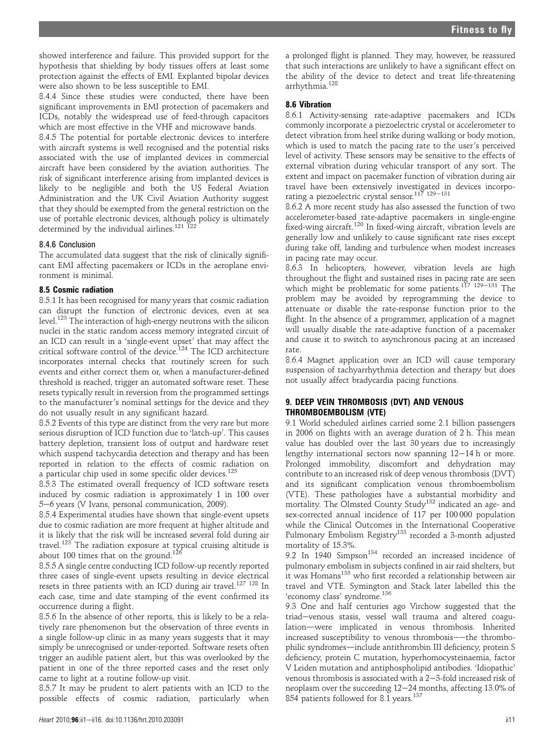showed interference and failure. This provided support for the hypothesis that shielding by body tissues offers at least some protection against the effects of EMI. Explanted bipolar devices were also shown to be less susceptible to EMI.

8.4.4 Since these studies were conducted, there have been significant improvements in EMI protection of pacemakers and ICDs, notably the widespread use of feed-through capacitors which are most effective in the VHF and microwave bands.

8.4.5 The potential for portable electronic devices to interfere with aircraft systems is well recognised and the potential risks associated with the use of implanted devices in commercial aircraft have been considered by the aviation authorities. The risk of significant interference arising from implanted devices is likely to be negligible and both the US Federal Aviation Administration and the UK Civil Aviation Authority suggest that they should be exempted from the general restriction on the use of portable electronic devices, although policy is ultimately determined by the individual airlines.<sup>121 12</sup>

#### 8.4.6 Conclusion

The accumulated data suggest that the risk of clinically significant EMI affecting pacemakers or ICDs in the aeroplane environment is minimal.

#### 8.5 Cosmic radiation

8.5.1 It has been recognised for many years that cosmic radiation can disrupt the function of electronic devices, even at sea level.<sup>123</sup> The interaction of high-energy neutrons with the silicon nuclei in the static random access memory integrated circuit of an ICD can result in a 'single-event upset' that may affect the critical software control of the device.<sup>124</sup> The ICD architecture incorporates internal checks that routinely screen for such events and either correct them or, when a manufacturer-defined threshold is reached, trigger an automated software reset. These resets typically result in reversion from the programmed settings to the manufacturer's nominal settings for the device and they do not usually result in any significant hazard.

8.5.2 Events of this type are distinct from the very rare but more serious disruption of ICD function due to 'latch-up'. This causes battery depletion, transient loss of output and hardware reset which suspend tachycardia detection and therapy and has been reported in relation to the effects of cosmic radiation on a particular chip used in some specific older devices.<sup>125</sup>

8.5.3 The estimated overall frequency of ICD software resets induced by cosmic radiation is approximately 1 in 100 over 5–6 years (V Ivans, personal communication, 2009).

8.5.4 Experimental studies have shown that single-event upsets due to cosmic radiation are more frequent at higher altitude and it is likely that the risk will be increased several fold during air travel.<sup>123</sup> The radiation exposure at typical cruising altitude is about 100 times that on the ground.<sup>126</sup>

8.5.5 A single centre conducting ICD follow-up recently reported three cases of single-event upsets resulting in device electrical resets in three patients with an ICD during air travel.<sup>127</sup> <sup>128</sup> In each case, time and date stamping of the event confirmed its occurrence during a flight.

8.5.6 In the absence of other reports, this is likely to be a relatively rare phenomenon but the observation of three events in a single follow-up clinic in as many years suggests that it may simply be unrecognised or under-reported. Software resets often trigger an audible patient alert, but this was overlooked by the patient in one of the three reported cases and the reset only came to light at a routine follow-up visit.

8.5.7 It may be prudent to alert patients with an ICD to the possible effects of cosmic radiation, particularly when a prolonged flight is planned. They may, however, be reassured that such interactions are unlikely to have a significant effect on the ability of the device to detect and treat life-threatening arrhythmia.128

#### 8.6 Vibration

8.6.1 Activity-sensing rate-adaptive pacemakers and ICDs commonly incorporate a piezoelectric crystal or accelerometer to detect vibration from heel strike during walking or body motion, which is used to match the pacing rate to the user's perceived level of activity. These sensors may be sensitive to the effects of external vibration during vehicular transport of any sort. The extent and impact on pacemaker function of vibration during air travel have been extensively investigated in devices incorporating a piezoelectric crystal sensor.<sup>117</sup> <sup>129-131</sup>

8.6.2 A more recent study has also assessed the function of two accelerometer-based rate-adaptive pacemakers in single-engine fixed-wing aircraft.<sup>120</sup> In fixed-wing aircraft, vibration levels are generally low and unlikely to cause significant rate rises except during take off, landing and turbulence when modest increases in pacing rate may occur.

8.6.3 In helicopters, however, vibration levels are high throughout the flight and sustained rises in pacing rate are seen which might be problematic for some patients. $117 \t129-131$  The problem may be avoided by reprogramming the device to attenuate or disable the rate-response function prior to the flight. In the absence of a programmer, application of a magnet will usually disable the rate-adaptive function of a pacemaker and cause it to switch to asynchronous pacing at an increased rate.

8.6.4 Magnet application over an ICD will cause temporary suspension of tachyarrhythmia detection and therapy but does not usually affect bradycardia pacing functions.

#### 9. DEEP VEIN THROMBOSIS (DVT) AND VENOUS THROMBOEMBOLISM (VTE)

9.1 World scheduled airlines carried some 2.1 billion passengers in 2006 on flights with an average duration of 2 h. This mean value has doubled over the last 30 years due to increasingly lengthy international sectors now spanning  $12-14$  h or more. Prolonged immobility, discomfort and dehydration may contribute to an increased risk of deep venous thrombosis (DVT) and its significant complication venous thromboembolism (VTE). These pathologies have a substantial morbidity and mortality. The Olmsted County Study<sup>132</sup> indicated an age- and sex-corrected annual incidence of 117 per 100 000 population while the Clinical Outcomes in the International Cooperative Pulmonary Embolism Registry<sup>133</sup> recorded a 3-month adjusted mortality of 15.3%.

9.2 In 1940 Simpson<sup>134</sup> recorded an increased incidence of pulmonary embolism in subjects confined in air raid shelters, but it was Homans<sup>135</sup> who first recorded a relationship between air travel and VTE. Symington and Stack later labelled this the 'economy class' syndrome.<sup>136</sup>

9.3 One and half centuries ago Virchow suggested that the triad-venous stasis, vessel wall trauma and altered coagulation-were implicated in venous thrombosis. Inherited increased susceptibility to venous thrombosis--the thrombophilic syndromes—include antithrombin III deficiency, protein S deficiency, protein C mutation, hyperhomocysteinaemia, factor V Leiden mutation and antiphospholipid antibodies. 'Idiopathic' venous thrombosis is associated with a  $2-3$ -fold increased risk of neoplasm over the succeeding  $12-24$  months, affecting  $13.0\%$  of 854 patients followed for 8.1 years.<sup>137</sup>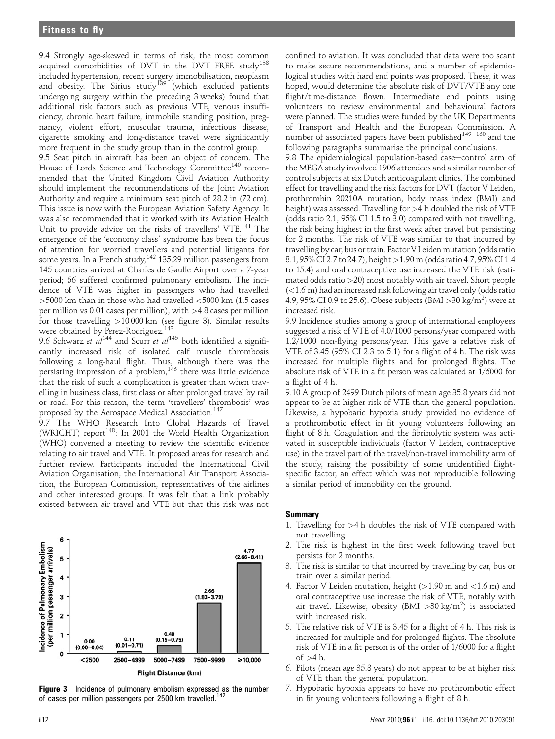9.4 Strongly age-skewed in terms of risk, the most common acquired comorbidities of DVT in the DVT FREE study<sup>138</sup> included hypertension, recent surgery, immobilisation, neoplasm and obesity. The Sirius study<sup>139</sup> (which excluded patients undergoing surgery within the preceding 3 weeks) found that additional risk factors such as previous VTE, venous insufficiency, chronic heart failure, immobile standing position, pregnancy, violent effort, muscular trauma, infectious disease, cigarette smoking and long-distance travel were significantly more frequent in the study group than in the control group.

9.5 Seat pitch in aircraft has been an object of concern. The House of Lords Science and Technology Committee<sup>140</sup> recommended that the United Kingdom Civil Aviation Authority should implement the recommendations of the Joint Aviation Authority and require a minimum seat pitch of 28.2 in (72 cm). This issue is now with the European Aviation Safety Agency. It was also recommended that it worked with its Aviation Health Unit to provide advice on the risks of travellers' VTE.<sup>141</sup> The emergence of the 'economy class' syndrome has been the focus of attention for worried travellers and potential litigants for some years. In a French study,  $142$  135.29 million passengers from 145 countries arrived at Charles de Gaulle Airport over a 7-year period; 56 suffered confirmed pulmonary embolism. The incidence of VTE was higher in passengers who had travelled >5000 km than in those who had travelled <5000 km (1.5 cases per million vs 0.01 cases per million), with >4.8 cases per million for those travelling >10 000 km (see figure 3). Similar results were obtained by Perez-Rodriguez.<sup>143</sup>

9.6 Schwarz et  $aI^{144}$  and Scurr et  $aI^{145}$  both identified a significantly increased risk of isolated calf muscle thrombosis following a long-haul flight. Thus, although there was the persisting impression of a problem,<sup>146</sup> there was little evidence that the risk of such a complication is greater than when travelling in business class, first class or after prolonged travel by rail or road. For this reason, the term 'travellers' thrombosis' was proposed by the Aerospace Medical Association.<sup>147</sup>

9.7 The WHO Research Into Global Hazards of Travel (WRIGHT) report<sup>148</sup>: In 2001 the World Health Organization (WHO) convened a meeting to review the scientific evidence relating to air travel and VTE. It proposed areas for research and further review. Participants included the International Civil Aviation Organisation, the International Air Transport Association, the European Commission, representatives of the airlines and other interested groups. It was felt that a link probably existed between air travel and VTE but that this risk was not



**Figure 3** Incidence of pulmonary embolism expressed as the number of cases per million passengers per 2500 km travelled.<sup>142</sup>

confined to aviation. It was concluded that data were too scant to make secure recommendations, and a number of epidemiological studies with hard end points was proposed. These, it was hoped, would determine the absolute risk of DVT/VTE any one flight/time-distance flown. Intermediate end points using volunteers to review environmental and behavioural factors were planned. The studies were funded by the UK Departments of Transport and Health and the European Commission. A number of associated papers have been published $149-160$  and the following paragraphs summarise the principal conclusions.

9.8 The epidemiological population-based case-control arm of the MEGA study involved 1906 attendees and a similar number of control subjects at six Dutch anticoagulant clinics. The combined effect for travelling and the risk factors for DVT (factor V Leiden, prothrombin 20210A mutation, body mass index (BMI) and height) was assessed. Travelling for >4 h doubled the risk of VTE (odds ratio 2.1, 95% CI 1.5 to 3.0) compared with not travelling, the risk being highest in the first week after travel but persisting for 2 months. The risk of VTE was similar to that incurred by travelling by car, bus or train. Factor V Leiden mutation (odds ratio 8.1, 95% CI 2.7 to 24.7), height >1.90 m (odds ratio 4.7, 95% CI 1.4 to 15.4) and oral contraceptive use increased the VTE risk (estimated odds ratio  $>20$ ) most notably with air travel. Short people  $(<$ 1.6 m) had an increased risk following air travel only (odds ratio 4.9, 95% CI 0.9 to 25.6). Obese subjects (BMI > 30 kg/m<sup>2</sup>) were at increased risk.

9.9 Incidence studies among a group of international employees suggested a risk of VTE of 4.0/1000 persons/year compared with 1.2/1000 non-flying persons/year. This gave a relative risk of VTE of 3.45 (95% CI 2.3 to 5.1) for a flight of 4 h. The risk was increased for multiple flights and for prolonged flights. The absolute risk of VTE in a fit person was calculated at 1/6000 for a flight of 4 h.

9.10 A group of 2499 Dutch pilots of mean age 35.8 years did not appear to be at higher risk of VTE than the general population. Likewise, a hypobaric hypoxia study provided no evidence of a prothrombotic effect in fit young volunteers following an flight of 8 h. Coagulation and the fibrinolytic system was activated in susceptible individuals (factor V Leiden, contraceptive use) in the travel part of the travel/non-travel immobility arm of the study, raising the possibility of some unidentified flightspecific factor, an effect which was not reproducible following a similar period of immobility on the ground.

#### Summary

- 1. Travelling for >4 h doubles the risk of VTE compared with not travelling.
- 2. The risk is highest in the first week following travel but persists for 2 months.
- 3. The risk is similar to that incurred by travelling by car, bus or train over a similar period.
- 4. Factor V Leiden mutation, height  $(>1.90$  m and  $<1.6$  m) and oral contraceptive use increase the risk of VTE, notably with air travel. Likewise, obesity (BMI > 30 kg/m<sup>2</sup>) is associated with increased risk.
- 5. The relative risk of VTE is 3.45 for a flight of 4 h. This risk is increased for multiple and for prolonged flights. The absolute risk of VTE in a fit person is of the order of 1/6000 for a flight of  $>4$  h.
- 6. Pilots (mean age 35.8 years) do not appear to be at higher risk of VTE than the general population.
- 7. Hypobaric hypoxia appears to have no prothrombotic effect in fit young volunteers following a flight of 8 h.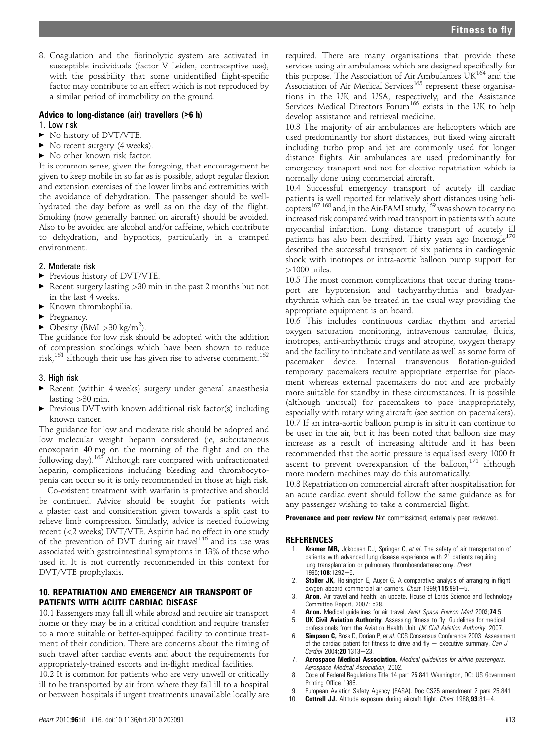8. Coagulation and the fibrinolytic system are activated in susceptible individuals (factor V Leiden, contraceptive use), with the possibility that some unidentified flight-specific factor may contribute to an effect which is not reproduced by a similar period of immobility on the ground.

#### Advice to long-distance (air) travellers (>6 h)

#### 1. Low risk

- $\triangleright$  No history of DVT/VTE.
- No recent surgery (4 weeks).
- $\blacktriangleright$  No other known risk factor.

It is common sense, given the foregoing, that encouragement be given to keep mobile in so far as is possible, adopt regular flexion and extension exercises of the lower limbs and extremities with the avoidance of dehydration. The passenger should be wellhydrated the day before as well as on the day of the flight. Smoking (now generally banned on aircraft) should be avoided. Also to be avoided are alcohol and/or caffeine, which contribute to dehydration, and hypnotics, particularly in a cramped environment.

#### 2. Moderate risk

- Previous history of DVT/VTE.
- Recent surgery lasting  $>$  30 min in the past 2 months but not in the last 4 weeks.
- Known thrombophilia.
- ▶ Pregnancy.
- $\blacktriangleright$  Obesity (BMI >30 kg/m<sup>2</sup>).

The guidance for low risk should be adopted with the addition of compression stockings which have been shown to reduce risk,<sup>161</sup> although their use has given rise to adverse comment.<sup>162</sup>

#### 3. High risk

- < Recent (within 4 weeks) surgery under general anaesthesia lasting  $>30$  min.
- Previous DVT with known additional risk factor(s) including known cancer.

The guidance for low and moderate risk should be adopted and low molecular weight heparin considered (ie, subcutaneous enoxoparin 40 mg on the morning of the flight and on the following day).<sup>163</sup> Although rare compared with unfractionated heparin, complications including bleeding and thrombocytopenia can occur so it is only recommended in those at high risk.

Co-existent treatment with warfarin is protective and should be continued. Advice should be sought for patients with a plaster cast and consideration given towards a split cast to relieve limb compression. Similarly, advice is needed following recent (<2 weeks) DVT/VTE. Aspirin had no effect in one study of the prevention of DVT during air travel<sup>146</sup> and its use was associated with gastrointestinal symptoms in 13% of those who used it. It is not currently recommended in this context for DVT/VTE prophylaxis.

#### 10. REPATRIATION AND EMERGENCY AIR TRANSPORT OF PATIENTS WITH ACUTE CARDIAC DISEASE

10.1 Passengers may fall ill while abroad and require air transport home or they may be in a critical condition and require transfer to a more suitable or better-equipped facility to continue treatment of their condition. There are concerns about the timing of such travel after cardiac events and about the requirements for appropriately-trained escorts and in-flight medical facilities.

10.2 It is common for patients who are very unwell or critically ill to be transported by air from where they fall ill to a hospital or between hospitals if urgent treatments unavailable locally are required. There are many organisations that provide these services using air ambulances which are designed specifically for this purpose. The Association of Air Ambulances  $\dot{U}K^{164}$  and the Association of Air Medical Services<sup>165</sup> represent these organisations in the UK and USA, respectively, and the Assistance Services Medical Directors Forum<sup>166</sup> exists in the UK to help develop assistance and retrieval medicine.

10.3 The majority of air ambulances are helicopters which are used predominantly for short distances, but fixed wing aircraft including turbo prop and jet are commonly used for longer distance flights. Air ambulances are used predominantly for emergency transport and not for elective repatriation which is normally done using commercial aircraft.

10.4 Successful emergency transport of acutely ill cardiac patients is well reported for relatively short distances using helicopters<sup>167 168</sup> and, in the Air-PAMI study,  $169$  was shown to carry no increased risk compared with road transport in patients with acute myocardial infarction. Long distance transport of acutely ill patients has also been described. Thirty years ago Incenogle $170$ described the successful transport of six patients in cardiogenic shock with inotropes or intra-aortic balloon pump support for >1000 miles.

10.5 The most common complications that occur during transport are hypotension and tachyarrhythmia and bradyarrhythmia which can be treated in the usual way providing the appropriate equipment is on board.

10.6 This includes continuous cardiac rhythm and arterial oxygen saturation monitoring, intravenous cannulae, fluids, inotropes, anti-arrhythmic drugs and atropine, oxygen therapy and the facility to intubate and ventilate as well as some form of pacemaker device. Internal transvenous flotation-guided temporary pacemakers require appropriate expertise for placement whereas external pacemakers do not and are probably more suitable for standby in these circumstances. It is possible (although unusual) for pacemakers to pace inappropriately, especially with rotary wing aircraft (see section on pacemakers). 10.7 If an intra-aortic balloon pump is in situ it can continue to be used in the air, but it has been noted that balloon size may increase as a result of increasing altitude and it has been recommended that the aortic pressure is equalised every 1000 ft ascent to prevent overexpansion of the balloon,  $171$  although more modern machines may do this automatically.

10.8 Repatriation on commercial aircraft after hospitalisation for an acute cardiac event should follow the same guidance as for any passenger wishing to take a commercial flight.

Provenance and peer review Not commissioned; externally peer reviewed.

#### **REFERENCES**

- 1. **Kramer MR,** Jokobsen DJ, Springer C, et al. The safety of air transportation of patients with advanced lung disease experience with 21 patients requiring lung transplantation or pulmonary thromboendarterectomy. Chest 1995;108:1292-6.
- 2. **Stoller JK,** Hoisington E, Auger G. A comparative analysis of arranging in-flight oxygen aboard commercial air carriers. Chest  $1999;115:991-5$ .
- 3. **Anon.** Air travel and health: an update. House of Lords Science and Technology Committee Report, 2007: p38.
- 4. **Anon.** Medical guidelines for air travel. Aviat Space Environ Med 2003;74:5.
- 5. **UK Civil Aviation Authority.** Assessing fitness to fly. Guidelines for medical professionals from the Aviation Health Unit. UK Civil Aviation Authority, 2007.
- 6. Simpson C, Ross D, Dorian P, et al. CCS Consensus Conference 2003: Assessment of the cardiac patient for fitness to drive and fly  $-$  executive summary. Can J Cardiol 2004:20:1313-23.
- 7. **Aerospace Medical Association.** Medical guidelines for airline passengers. Aerospace Medical Association, 2002.
- 8. Code of Federal Regulations Title 14 part 25.841 Washington, DC: US Government Printing Office 1986.
- 9. European Aviation Safety Agency (EASA). Doc CS25 amendment 2 para 25.841
- 10. **Cottrell JJ.** Altitude exposure during aircraft flight. Chest  $1988;93:81-4$ .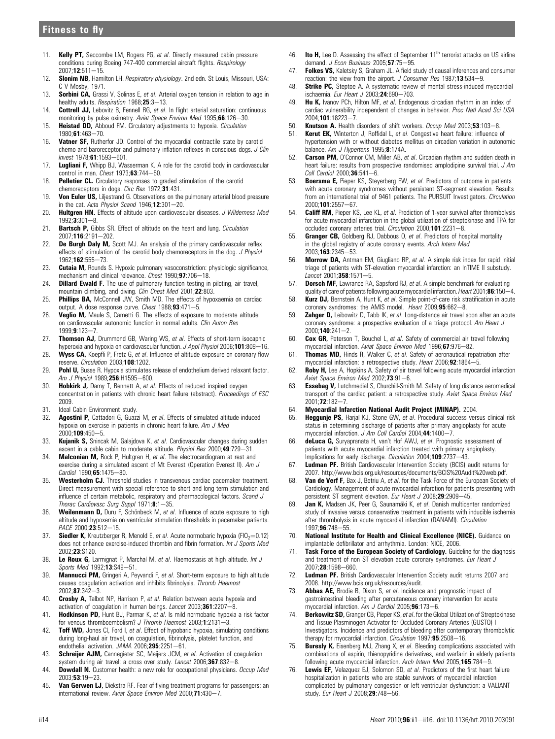#### Fitness to fly

- 11. Kelly PT, Seccombe LM, Rogers PG, et al. Directly measured cabin pressure conditions during Boeing 747-400 commercial aircraft flights. Respirology 2007;12:511-15.
- 12. Slonim NB, Hamilton LH. Respiratory physiology. 2nd edn. St Louis, Missouri, USA: C V Mosby, 1971.
- 13. Sorbini CA, Grassi V, Solinas E, et al. Arterial oxygen tension in relation to age in healthy adults. Respiration 1968;25:3-13.
- 14. **Cottrell JJ,** Lebovitz B, Fennell RG, et al. In flight arterial saturation: continuous monitoring by pulse oximetry. Aviat Space Environ Med 1995;66:126-30.
- 15. Heistad DD, Abboud FM. Circulatory adjustments to hypoxia. Circulation 1980:61:463-70.
- 16. Vatner SF, Rutherfor JD. Control of the myocardial contractile state by carotid chemo-and baroreceptor and pulmonary inflation reflexes in conscious dogs. J Clin  $Invest 1978:61:1593-601.$
- 17. **Lugliani F**, Whipp BJ, Wasserman K, A role for the carotid body in cardiovascular control in man. Chest  $1973:63:744-50$ .
- 18. Pelletier CL. Circulatory responses to graded stimulation of the carotid chemoreceptors in dogs. Circ Res 1972;31:431.
- 19. Von Euler US, Liljestrand G. Observations on the pulmonary arterial blood pressure in the cat. Acta Physiol Scand 1946;12:301-20.
- 20. **Hultgren HN.** Effects of altitude upon cardiovascular diseases. J Wilderness Med  $1992:3:301-8.$
- 21. Bartsch P, Gibbs SR. Effect of altitude on the heart and lung. Circulation 2007:116:2191-202.
- 22. **De Burgh Daly M,** Scott MJ, An analysis of the primary cardiovascular reflex effects of stimulation of the carotid body chemoreceptors in the dog. J Physiol 1962:562:555-73.
- 23. Cutaia M, Rounds S. Hypoxic pulmonary vasoconstriction: physiologic significance, mechanism and clinical relevance. Chest 1990;97:706-18.
- 24. **Dillard Ewald F.** The use of pulmonary function testing in piloting, air travel, mountain climbing, and diving. Clin Chest Med 2001;22:803.
- 25. Phillips BA, McConnell JW, Smith MD. The effects of hypoxaemia on cardiac output. A dose response curve. Chest  $1988; 93.471 - 5.$
- 26. Veglio M, Maule S, Cametti G. The effects of exposure to moderate altitude on cardiovascular autonomic function in normal adults. Clin Auton Res 1999;**9**:123-7
- 27. Thomson AJ, Drummond GB, Waring WS, et al. Effects of short-term isocapnic hyperoxia and hypoxia on cardiovascular function. J Appl Physiol 2006;101:809-16.
- 28. Wyss CA, Koepfli P, Fretz G, et al. Influence of altitude exposure on coronary flow reserve. Circulation 2003;108:1202.
- 29. Pohl U, Busse R. Hypoxia stimulates release of endothelium derived relaxant factor. Am J Physiol 1989;256:H1595-600.
- 30. Hobkirk J, Damy T, Bennett A, et al. Effects of reduced inspired oxygen concentration in patients with chronic heart failure (abstract). Proceedings of ESC 2009.
- 31. Ideal Cabin Environment study.
- 32. **Agostini P,** Cattadori G, Guazzi M, et al. Effects of simulated altitude-induced hypoxia on exercise in patients in chronic heart failure. Am J Med  $2000:109:450 - 5$
- 33. Kujanik S, Snincak M, Galajdova K, et al. Cardiovascular changes during sudden ascent in a cable cabin to moderate altitude. Physiol Res 2000;49:729-31.
- 34. Malconian M, Rock P, Hultgren H, et al. The electrocardiogram at rest and exercise during a simulated ascent of Mt Everest (Operation Everest II). Am J Cardiol 1990:65:1475-80.
- 35. Westerholm CJ. Threshold studies in transvenous cardiac pacemaker treatment. Direct measurement with special reference to short and long term stimulation and influence of certain metabolic, respiratory and pharmacological factors. Scand J Thorac Cardiovasc Surg Suppl 1971;8:1-35.
- 36. Weilenmann D, Duru F, Schönbeck M, et al. Influence of acute exposure to high altitude and hypoxemia on ventricular stimulation thresholds in pacemaker patients.  $PACF 2000:23:512-15$
- 37. Siedler K, Kreutzberger R, Menold E, et al. Acute normobaric hypoxia (FIO<sub>2</sub>=0.12) does not enhance exercise-induced thrombin and fibrin formation. Int J Sports Med 2002;23:S120.
- 38. Le Roux G, Larmignat P, Marchal M, et al. Haemostasis at high altitude. Int J Sports Med 1992:13:S49-51.
- 39. Mannucci PM, Gringeri A, Peyvandi F, et al. Short-term exposure to high altitude causes coagulation activation and inhibits fibrinolysis. Thromb Haemost  $2002;$ 87:342-3.
- 40. Crosby A, Talbot NP, Harrison P, et al. Relation between acute hypoxia and activation of coagulation in human beings. Lancet 2003;361:2207-8.
- 41. Hodkinson PD, Hunt BJ, Parmar K, et al. Is mild normobaric hypoxia a risk factor for venous thromboembolism? J Thromb Haemost 2003;1:2131-3.
- 42. **Toff WD,** Jones CI, Ford I, et al. Effect of hypobaric hypoxia, simulating conditions during long-haul air travel, on coagulation, fibrinolysis, platelet function, and endothelial activation.  $JAMA$  2006; $295:2251-61$ .
- 43. Schreijer AJM, Cannegieter SC, Meijers JCM, et al. Activation of coagulation system during air travel: a cross over study. Lancet 2006;367:832-8.
- 44. **Dowdall N.** Customer health: a new role for occupational physicians. Occup Med  $2003:53:19-23$
- 45. Van Gerwen LJ, Diekstra RF. Fear of flying treatment programs for passengers: an international review. Aviat Space Environ Med 2000;71:430-7.
- 46. **Ito H**, Lee D. Assessing the effect of September 11<sup>th</sup> terrorist attacks on US airline demand.  $J$  Econ Business 2005;57:75-95.
- 47. Folkes VS, Kaletsky S, Graham JL. A field study of causal inferences and consumer reaction: the view from the airport. J Consumer Res 1987;13:534-9.
- 48. **Strike PC,** Steptoe A. A systematic review of mental stress-induced myocardial ischaemia. Eur Heart J 2003; 24:690-703.
- 49. Hu K, Ivanov PCh, Hilton MF, et al. Endogenous circadian rhythm in an index of cardiac vulnerability independent of changes in behavior. Proc Natl Acad Sci USA  $2004:101:18223 - 7$
- 50. **Knutson A.** Health disorders of shift workers. Occup Med 2003;53:103-8.<br>51. **Kerut EK.** Winterton J. Roffidal L. et al. Congestive heart failure: influence
- **Kerut EK.** Winterton J. Roffidal L, et al. Congestive heart failure: influence of hypertension with or without diabetes mellitus on circadian variation in autonomic balance. Am J Hypertens 1995;8:174A.
- 52. **Carson PM,** O'Connor CM, Miller AB, et al. Circadian rhythm and sudden death in heart failure: results from prospective randomised amplodipine survival trial. *J Am*  $Coll$  Cardiol 2000; 36:541-6.
- 53. Boersma E, Pieper KS, Steyerberg EW, et al. Predictors of outcome in patients with acute coronary syndromes without persistent ST-segment elevation. Results from an international trial of 9461 patients. The PURSUIT Investigators. Circulation 2000:101:2557-67.
- 54. **Califf RM,** Pieper KS, Lee KL, et al. Prediction of 1-year survival after thrombolysis for acute myocardial infarction in the global utilization of streptokinase and TPA for occluded coronary arteries trial. Circulation 2000;101:2231-8.
- 55. Granger CB, Goldberg RJ, Dabbous O, et al. Predictors of hospital mortality in the global registry of acute coronary events. Arch Intern Med  $2003:163:2345 - 53$
- 56. Morrow DA, Antman EM, Giugliano RP, et al. A simple risk index for rapid initial triage of patients with ST-elevation myocardial infarction: an InTIME II substudy.  $Lancet 2001;$ 358:1571-5.
- 57. **Dorsch MF,** Lawrance RA, Sapsford RJ, et al. A simple benchmark for evaluating quality of care of patients following acute myocardial infarction. Heart 2001;86:150-4.
- 58. Kurz DJ, Bernstein A, Hunt K, et al. Simple point-of-care risk stratification in acute coronary syndromes: the AMIS model. Heart 2009;95:662-8.
- 59. **Zahger D,** Leibowitz D, Tabb IK, et al. Long-distance air travel soon after an acute coronary syndrome: a prospective evaluation of a triage protocol. Am Heart J  $2000 \cdot 140 \cdot 241 - 2$
- 60. Cox GR, Peterson T, Bouchel L, et al. Safety of commercial air travel following myocardial infarction. Aviat Space Environ Med 1996;67:976-82.
- 61. Thomas MD, Hinds R, Walker C, et al. Safety of aeronautical repatriation after myocardial infarction: a retrospective study. Heart 2006;92:1864-5.
- 62. **Roby H,** Lee A, Hopkins A. Safety of air travel following acute myocardial infarction Aviat Space Environ Med 2002;73:91-6.
- 63. Essebag V, Lutchmedial S, Churchill-Smith M. Safety of long distance aeromedical transport of the cardiac patient: a retrospective study. Aviat Space Environ Med  $2001;72:182 - 7.$
- 64. Myocardial Infarction National Audit Project (MINAP). 2004.<br>65. Heqqunje PS, Harjal KJ. Stone GW. et al. Procedural success vers
- Heggunje PS, Harjal KJ, Stone GW, et al. Procedural success versus clinical risk status in determining discharge of patients after primary angioplasty for acute myocardial infarction.  $J$  Am Coll Cardiol 2004; 44:1400-7.
- 66. deLuca G, Suryapranata H, van't Hof AWJ, et al. Prognostic assessment of patients with acute myocardial infarction treated with primary angioplasty. Implications for early discharge. Circulation 2004;109:2737-43.
- 67. Ludman PF. British Cardiovascular Intervention Society (BCIS) audit returns for 2007. http://www.bcis.org.uk/resources/documents/BCIS%20Audit%20web.pdf.
- 68. Van de Verf F, Bax J, Betriu A, et al. for the Task Force of the European Society of Cardiology. Management of acute myocardial infarction for patients presenting with persistent ST segment elevation. Eur Heart J 2008;29:2909-45.
- 69. **Jan K,** Madsen JK, Peer G, Saunamäki K, et al. Danish multicenter randomized study of invasive versus conservative treatment in patients with inducible ischemia after thrombolysis in acute myocardial infarction (DANAMI). Circulation 1997;96:748-55.
- National Institute for Health and Clinical Excellence (NICE). Guidance on implantable defibrillator and arrhythmia. London: NICE, 2006.
- 71. Task Force of the European Society of Cardiology. Guideline for the diagnosis and treatment of non ST elevation acute coronary syndromes. Eur Heart J  $2007:28:1598 - 660$
- 72. Ludman PF. British Cardiovascular Intervention Society audit returns 2007 and 2008. http://www.bcis.org.uk/resources/audit.
- 73. **Abbas AE,** Brodie B, Dixon S, et al. Incidence and prognostic impact of gastrointestinal bleeding after percutaneous coronary intervention for acute myocardial infarction.  $\overline{Am}$  J Cardiol 2005;96:173-6.
- 74. Berkowitz SD, Granger CB, Pieper KS, et al. for the Global Utilization of Streptokinase and Tissue Plasminogen Activator for Occluded Coronary Arteries (GUSTO) I Investigators. Incidence and predictors of bleeding after contemporary thrombolytic therapy for myocardial infarction. Circulation 1997;95:2508-16.
- 75. Buresly K, Eisenberg MJ, Zhang X, et al. Bleeding complications associated with combinations of aspirin, thienopyridine derivatives, and warfarin in elderly patients following acute myocardial infarction. Arch Intern Med 2005;165:784-9.
- 76. Lewis EF, Velazquez EJ, Solomon SD, et al. Predictors of the first heart failure hospitalization in patients who are stable survivors of myocardial infarction complicated by pulmonary congestion or left ventricular dysfunction: a VALIANT study. Eur Heart J 2008;29:748-56.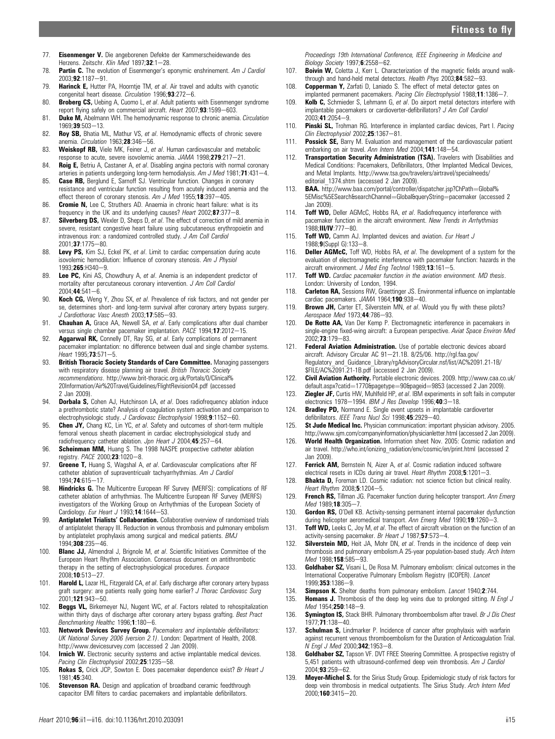- 77. Eisenmenger V. Die angeborenen Defekte der Kammerscheidewande des Herzens. Zeitschr. Klin Med 1897;32:1-28.
- 78. Partin C. The evolution of Eisenmenger's eponymic enshrinement. Am J Cardiol 2003:92:1187-91.
- 79. **Harinck E,** Hutter PA, Hoorntie TM, et al. Air travel and adults with cyanotic congenital heart disease. Circulation 1996;93:272-6.
- 80. Broberg CS, Uebing A, Cuomo L, et al. Adult patients with Eisenmenger syndrome report flying safely on commercial aircraft. Heart 2007;93:1599-603.
- 81. **Duke M,** Abelmann WH. The hemodynamic response to chronic anemia. *Circulation* 1969;39:503-13.
- 82. Roy SB, Bhatia ML, Mathur VS, et al. Hemodynamic effects of chronic severe anemia. Circulation 1963;28:346-56.
- 83. Weiskopf RB, Viele MK, Feiner J, et al. Human cardiovascular and metabolic response to acute, severe isovolemic anemia. JAMA 1998;279:217-21.
- 84. **Roig E,** Betriu A, Castaner A, et al. Disabling angina pectoris with normal coronary arteries in patients undergoing long-term hemodialysis. Am J Med 1981;71:431-4.
- 85. Case RB, Berglund E, Sarnoff SJ. Ventricular function. Changes in coronary resistance and ventricular function resulting from acutely induced anemia and the effect thereon of coronary stenosis. Am  $J$  Med 1955;18:397-405.
- 86. **Cromie N,** Lee C, Struthers AD. Anaemia in chronic heart failure: what is its frequency in the UK and its underlying causes? Heart 2002;87:377-8.
- 87. Silverberg DS, Wexler D, Sheps D, et al. The effect of correction of mild anemia in severe, resistant congestive heart failure using subcutaneous erythropoietin and intravenous iron: a randomized controlled study. J Am Coll Cardiol 2001:37:1775-80.
- 88. Levy PS, Kim SJ, Eckel PK, et al. Limit to cardiac compensation during acute isovolemic hemodilution: Influence of coronary stenosis. Am J Physiol 1993;265:H340-9.
- 89. Lee PC, Kini AS, Chowdhury A, et al. Anemia is an independent predictor of mortality after percutaneous coronary intervention. J Am Coll Cardiol  $2004 \cdot 44 \cdot 541 - 6$
- 90. Koch CG, Weng Y, Zhou SX, et al. Prevalence of risk factors, and not gender per se, determines short- and long-term survival after coronary artery bypass surgery. J Cardiothorac Vasc Anesth 2003;17:585-93.
- 91. **Chauhan A,** Grace AA, Newell SA, et al. Early complications after dual chamber versus single chamber pacemaker implantation. PACE 1994;17:2012-15.
- 92. Aggarwal RK, Connelly DT, Ray SG, et al. Early complications of permanent pacemaker implantation: no difference between dual and single chamber systems. Heart 1995;73:571-5.
- 93. British Thoracic Society Standards of Care Committee. Managing passengers with respiratory disease planning air travel. British Thoracic Society recommendations. http://www.brit-thoracic.org.uk/Portals/0/Clinical% 20Information/Air%20Travel/Guidelines/FlightRevision04.pdf (accessed 2 Jan 2009).
- 94. **Dorbala S,** Cohen AJ, Hutchinson LA, et al. Does radiofrequency ablation induce a prethrombotic state? Analysis of coagulation system activation and comparison to electrophysiologic study. J Cardiovasc Electrophysiol 1998;9:1152-60.
- 95. Chen JY, Chang KC, Lin YC, et al. Safety and outcomes of short-term multiple femoral venous sheath placement in cardiac electrophysiological study and radiofrequency catheter ablation. Jpn Heart J 2004;  $45.257 - 64$ .
- 96. **Scheinman MM, Huang S. The 1998 NASPE prospective catheter ablation** registry. PACE 2000;23:1020-8.
- 97. Greene T, Huang S, Wagshal A, et al. Cardiovascular complications after RF catheter ablation of supraventricualr tachyarrhythmias. Am J Cardiol 1994:74:615-17
- 98. **Hindricks G.** The Multicentre European RF Survey (MERFS): complications of RF catheter ablation of arrhythmias. The Multicentre European RF Survey (MERFS) investigators of the Working Group on Arrhythmias of the European Society of Cardiology. Eur Heart J 1993;14:1644-53.
- 99. **Antiplatelet Trialists' Collaboration.** Collaborative overview of randomised trials of antiplatelet therapy III. Reduction in venous thrombosis and pulmonary embolism by antiplatelet prophylaxis among surgical and medical patients. BMJ 1994;308:235-46.
- 100. **Blanc JJ,** Almendral J, Brignole M, et al. Scientific Initiatives Committee of the European Heart Rhythm Association. Consensus document on antithrombotic therapy in the setting of electrophysiological procedures. Europace 2008:10:513-27
- 101. Harold L, Lazar HL, Fitzgerald CA, et al. Early discharge after coronary artery bypass graft surgery: are patients really going home earlier? J Thorac Cardiovasc Surg 2001:121:943-50.
- 102. Beggs VL, Birkemeyer NJ, Nugent WC, et al. Factors related to rehospitalization within thirty days of discharge after coronary artery bypass grafting. Best Pract Benchmarking Healthc 1996;1:180-6.
- 103. Network Devices Survey Group. Pacemakers and implantable defibrillators: UK National Survey 2006 (version 2.1). London: Department of Health, 2008. http://www.devicesurvey.com (accessed 2 Jan 2009).
- 104. **Irnich W.** Electronic security systems and active implantable medical devices. Pacing Clin Electrophysiol 2002;25:1235-58.
- 105. Rokas S, Crick JCP, Sowton E. Does pacemaker dependence exist? Br Heart J 1981;45:340.
- 106. Stevenson RA. Design and application of broadband ceramic feedthrough capacitor EMI filters to cardiac pacemakers and implantable defibrillators.

Proceedings 19th International Conference, IEEE Engineering in Medicine and Biology Society 1997;6:2558-62.

- 107. Boivin W, Coletta J, Kerr L. Characterization of the magnetic fields around walkthrough and hand-held metal detectors. Health Phys  $2003$ ; 84:582-93.
- 108. **Copperman Y,** Zarfati D, Laniado S. The effect of metal detector gates on implanted permanent pacemakers. Pacing Clin Electrophysiol 1988;11:1386-7
- 109. Kolb C, Schmieder S, Lehmann G, et al. Do airport metal detectors interfere with implantable pacemakers or cardioverter-defibrillators? J Am Coll Cardiol  $2003:41:2054-9$
- 110. Pinski SL, Trohman RG. Interference in implanted cardiac devices, Part I. Pacing  $Clin$  Electrophysiol 2002;25:1367-81.
- 111. Possick SE, Barry M. Evaluation and management of the cardiovascular patient embarking on air travel. Ann Intern Med 2004;141:148-54.
- 112. Transportation Security Administration (TSA). Travelers with Disabilities and Medical Conditions: Pacemakers, Defibrillators, Other Implanted Medical Devices, and Metal Implants. http://www.tsa.gov/travelers/airtravel/specialneeds/ editorial 1374.shtm (accessed 2 Jan 2009).
- 113. BAA. http://www.baa.com/portal/controller/dispatcher.jsp?ChPath=Global% 5EMisc%5ESearch&searchChannel=Global&queryString=pacemaker (accessed 2 Jan 2009).
- 114. Toff WD, Deller AGMcC, Hobbs RA, et al. Radiofrequency interference with pacemaker function in the aircraft environment. New Trends in Arrhythmias  $1988$ ;III/IV:777-80.
- 115. Toff WD, Camm AJ. Implanted devices and aviation. Eur Heart J 1988:9(Suppl G):133-8.
- 116. **Deller AGMcC,** Toff WD, Hobbs RA, et al. The development of a system for the evaluation of electromagnetic interference with pacemaker function: hazards in the aircraft environment. J Med Eng Technol 1989;13:161-5.
- 117. **Toff WD.** Cardiac pacemaker function in the aviation environment. MD thesis. London: University of London, 1994.
- 118. **Carleton RA,** Sessions RW, Graettinger JS. Environmental influence on implantable cardiac pacemakers. JAMA 1964;190:938-40.
- 119. Brown JH, Carter ET, Silverstein MN, et al. Would you fly with these pilots? Aerospace Med 1973;44:786-93.
- 120. **De Rotte AA**, Van Der Kemp P. Electromagnetic interference in pacemakers in single-engine fixed-wing aircraft: a European perspective. Aviat Space Environ Med  $2002:73:179-83$
- 121. Federal Aviation Administration. Use of portable electronic devices aboard aircraft. Advisory Circular AC 91-21.1B. 8/25/06. http://rgl.faa.gov/ Regulatory\_and\_Guidance\_Library/rgAdvisoryCircular.nsf/list/AC%2091.21-1B/ \$FILE/AC%2091.21-1B.pdf (accessed 2 Jan 2009).
- 122. Civil Aviation Authority. Portable electronic devices. 2009. http://www.caa.co.uk/ default.aspx?catid=1770&pagetype=90&pageid=9853 (accessed 2 Jan 2009).
- 123. **Ziegler JF,** Curtis HW, Muhlfeld HP, et al. IBM experiments in soft fails in computer electronics 1978-1994. IBM J Res Develop 1996;40:3-18.
- 124. Bradley PD, Normand E. Single event upsets in implantable cardioverter defibrillators. IEEE Trans Nucl Sci 1998;45:2929-40.
- 125. St Jude Medical Inc. Physician communication: important physician advisory. 2005. http://www.sjm.com/companyinformation/physicianletter.html (accessed 2 Jan 2009).
- 126. World Health Organization. Information sheet Nov. 2005: Cosmic radiation and air travel. http://who.int/ionizing\_radiation/env/cosmic/en/print.html (accessed 2 Jan 2009)
- 127. Ferrick AM, Bernstein N, Aizer A, et al. Cosmic radiation induced software electrical resets in ICDs during air travel. Heart Rhythm  $2008; 5:1201-3$ .
- 128. **Bhakta D,** Foreman LD. Cosmic radiation: not science fiction but clinical reality Heart Rhythm  $2008:5:1204-5$ .
- 129. French RS, Tillman JG. Pacemaker function during helicopter transport. Ann Emerg Med 1989;18:305-7.
- 130. Gordon RS, O'Dell KB. Activity-sensing permanent internal pacemaker dysfunction during helicopter aeromedical transport. Ann Emerg Med 1990;19:1260-3.
- 131. Toff WD, Leeks C, Joy M, et al. The effect of aircraft vibration on the function of an activity-sensing pacemaker. Br Heart J 1987;57:573-4.
- 132. Silverstein MD, Heit JA, Mohr DN, et al. Trends in the incidence of deep vein thrombosis and pulmonary embolism.A 25-year population-based study. Arch Intern Med 1998;158:585-93.
- 133. Goldhaber SZ, Visani L, De Rosa M. Pulmonary embolism: clinical outcomes in the International Cooperative Pulmonary Embolism Registry (ICOPER). Lancet 1999;353:1386-9.
- 134. Simpson K. Shelter deaths from pulmonary embolism. Lancet 1940;2:744.
- 135. **Homans J.** Thrombosis of the deep leg veins due to prolonged sitting. N Engl J Med 1954:250:148-9.
- 136. Symington IS, Stack BHR. Pulmonary thromboembolism after travel. Br J Dis Chest 1977;71:138-40.
- 137. Schulman S, Lindmarker P. Incidence of cancer after prophylaxis with warfarin against recurrent venous thromboembolism for the Duration of Anticoagulation Trial. N Enal J Med 2000:342:1953-8.
- 138. Goldhaber SZ, Tapson VF. DVT FREE Steering Committee. A prospective registry of 5,451 patients with ultrasound-confirmed deep vein thrombosis. Am J Cardiol 2004;93:259-62.
- 139. Meyer-Michel S. for the Sirius Study Group. Epidemiologic study of risk factors for deep vein thrombosis in medical outpatients. The Sirius Study. Arch Intern Med 2000;160:3415-20.